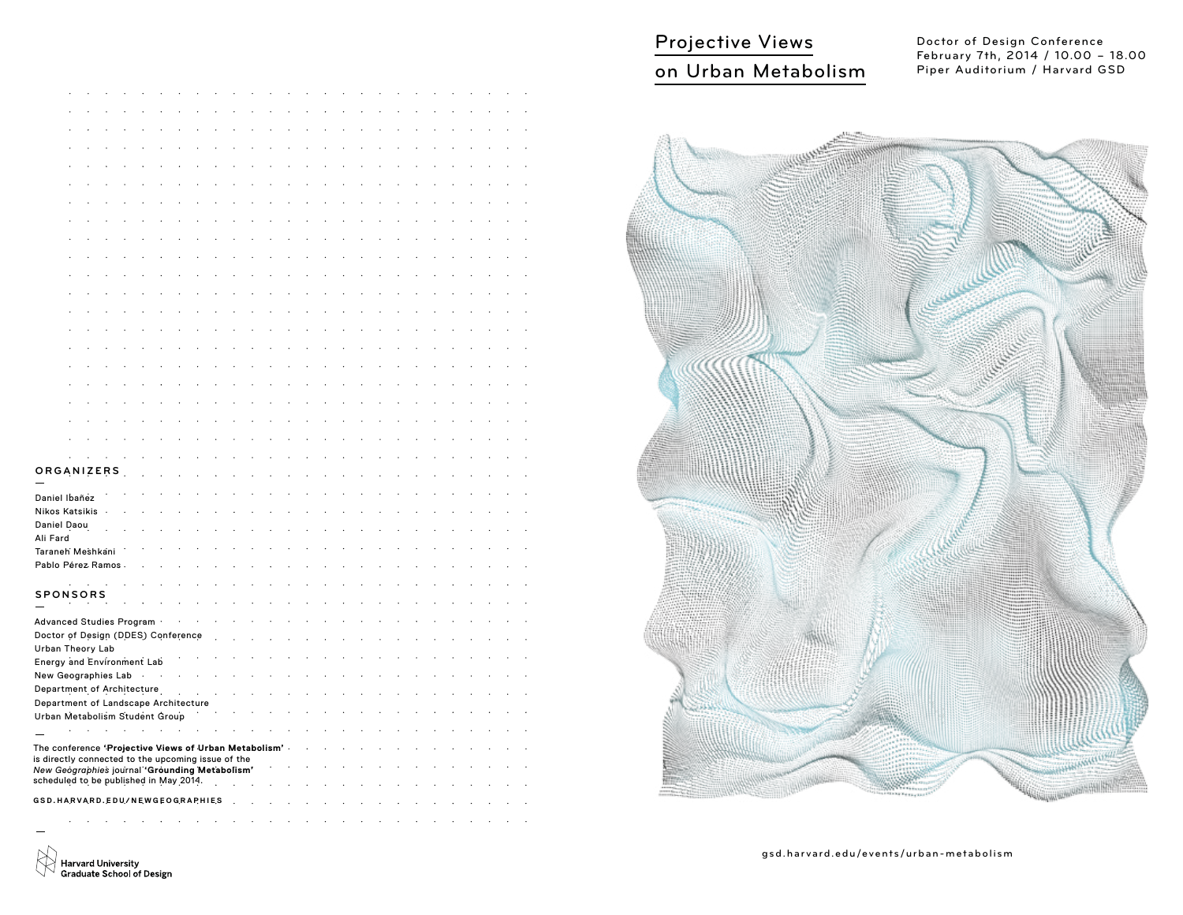| ORGANIZERS                                                                                           |    |    |  |  |  |  |  |  |  |  |  |  |  |
|------------------------------------------------------------------------------------------------------|----|----|--|--|--|--|--|--|--|--|--|--|--|
| Daniel Ibañez                                                                                        |    |    |  |  |  |  |  |  |  |  |  |  |  |
| Nikos Katsikis                                                                                       |    |    |  |  |  |  |  |  |  |  |  |  |  |
| Daniel Daou                                                                                          |    |    |  |  |  |  |  |  |  |  |  |  |  |
| Ali Fard                                                                                             |    |    |  |  |  |  |  |  |  |  |  |  |  |
| Taraneh Meshkani                                                                                     |    |    |  |  |  |  |  |  |  |  |  |  |  |
| Pablo Pérez Ramos -                                                                                  |    |    |  |  |  |  |  |  |  |  |  |  |  |
|                                                                                                      |    |    |  |  |  |  |  |  |  |  |  |  |  |
| <b>SPONSORS</b>                                                                                      |    |    |  |  |  |  |  |  |  |  |  |  |  |
| Advanced Studies Program .                                                                           |    |    |  |  |  |  |  |  |  |  |  |  |  |
| Doctor of Design (DDES) Conference                                                                   |    |    |  |  |  |  |  |  |  |  |  |  |  |
| Urban Theory Lab                                                                                     |    |    |  |  |  |  |  |  |  |  |  |  |  |
| Energy and Environment Lab                                                                           |    |    |  |  |  |  |  |  |  |  |  |  |  |
| New Geographies Lab                                                                                  |    |    |  |  |  |  |  |  |  |  |  |  |  |
| Department of Architecture                                                                           |    |    |  |  |  |  |  |  |  |  |  |  |  |
| Department of Landscape Architecture                                                                 |    |    |  |  |  |  |  |  |  |  |  |  |  |
| Urban Metabolism Student Group                                                                       | ÷. | ÷. |  |  |  |  |  |  |  |  |  |  |  |
|                                                                                                      |    |    |  |  |  |  |  |  |  |  |  |  |  |
| The conference 'Projective Views of Urban Metabolism'                                                |    |    |  |  |  |  |  |  |  |  |  |  |  |
| is directly connected to the upcoming issue of the<br>New Geographies journal 'Grounding Metabolism' |    |    |  |  |  |  |  |  |  |  |  |  |  |
| scheduled to be published in May 2014.                                                               |    |    |  |  |  |  |  |  |  |  |  |  |  |
| GSD.HARVARD.EDU/NEWGEOGRAPHIES                                                                       |    |    |  |  |  |  |  |  |  |  |  |  |  |

# Projective Views on Urban Metabolism

Doctor of Design Conference February 7th, 2014 / 10.00 – 18.00 Piper Auditorium / Harvard GSD



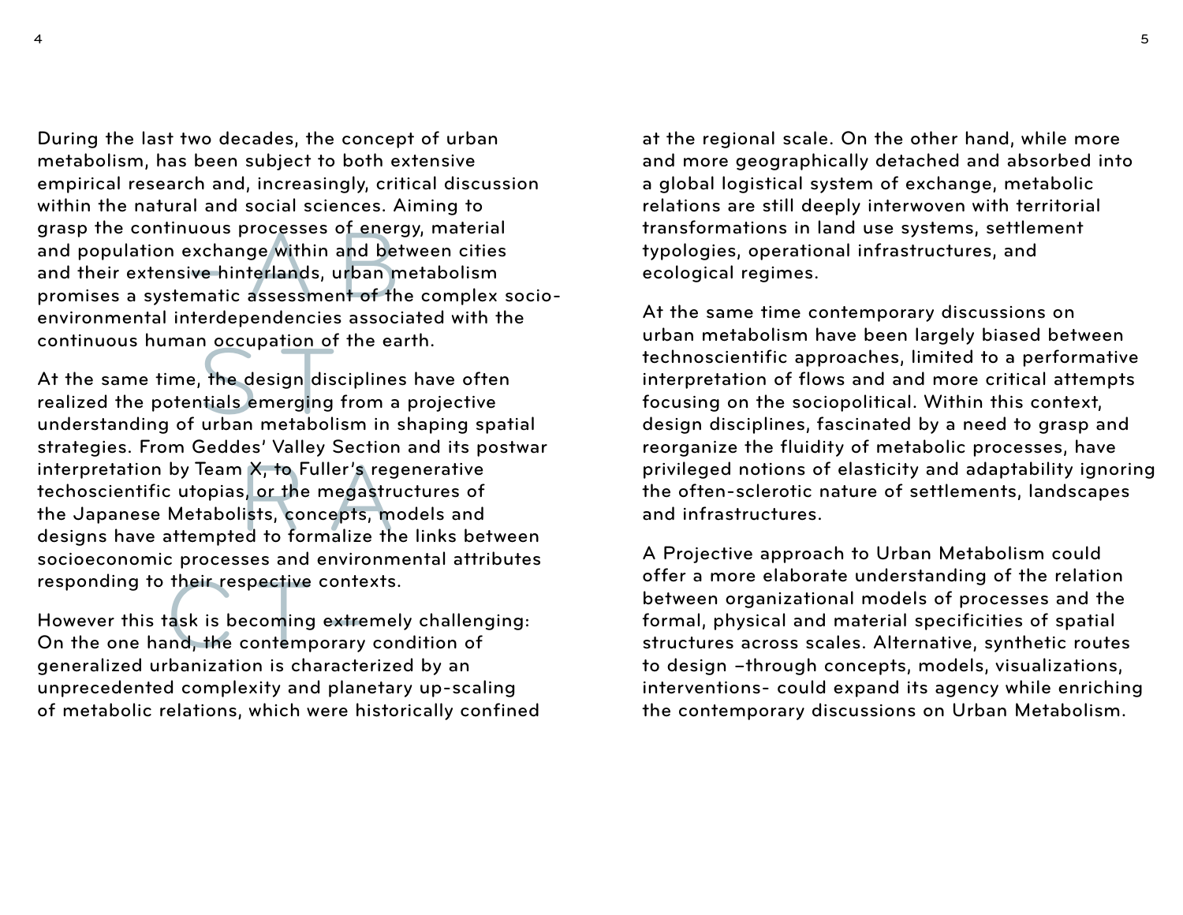continuous processes of ener<br>ation exchange within and be<br>extensive hinterlands, urban n<br>a systematic assessment of the<br>ntal interdependencies assoc During the last two decades, the concept of urban metabolism, has been subject to both extensive empirical research and, increasingly, critical discussion within the natural and social sciences. Aiming to grasp the continuous processes of energy, material and population exchange within and between cities and their extensive hinterlands, urban metabolism promises a systematic assessment of the complex socioenvironmental interdependencies associated with the continuous human occupation of the earth.

n occupation<br>The design dis<br>The design dis<br>The emerging<br>The metabol ion by Team X, to Fuller's reg<br>tific utopias, or the megastru<br>ese Metabolists, concepts, m<br>ve attempted to formalize th At the same time, the design disciplines have often realized the potentials emerging from a projective understanding of urban metabolism in shaping spatial strategies. From Geddes' Valley Section and its postwar interpretation by Team X, to Fuller's regenerative techoscientific utopias, or the megastructures of the Japanese Metabolists, concepts, models and designs have attempted to formalize the links between socioeconomic processes and environmental attributes

responding to their respective contexts.<br>However this task is becoming extremely<br>On the one hand, the contemporary conceneralized urbanization is characterized However this task is becoming extremely challenging: On the one hand, the contemporary condition of generalized urbanization is characterized by an unprecedented complexity and planetary up-scaling of metabolic relations, which were historically confined at the regional scale. On the other hand, while more and more geographically detached and absorbed into a global logistical system of exchange, metabolic relations are still deeply interwoven with territorial transformations in land use systems, settlement typologies, operational infrastructures, and ecological regimes.

At the same time contemporary discussions on urban metabolism have been largely biased between technoscientific approaches, limited to a performative interpretation of flows and and more critical attempts focusing on the sociopolitical. Within this context, design disciplines, fascinated by a need to grasp and reorganize the fluidity of metabolic processes, have privileged notions of elasticity and adaptability ignoring the often-sclerotic nature of settlements, landscapes and infrastructures.

A Projective approach to Urban Metabolism could offer a more elaborate understanding of the relation between organizational models of processes and the formal, physical and material specificities of spatial structures across scales. Alternative, synthetic routes to design –through concepts, models, visualizations, interventions- could expand its agency while enriching the contemporary discussions on Urban Metabolism.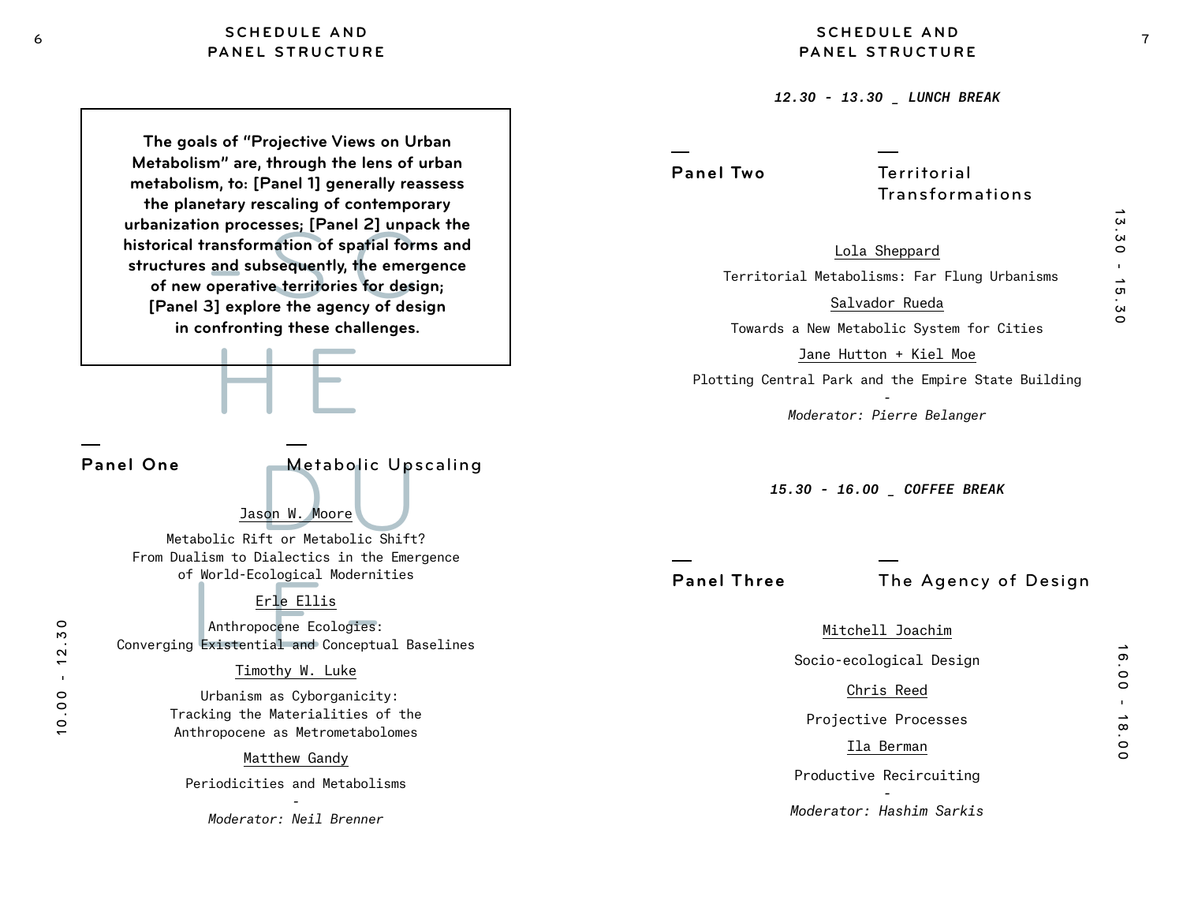# SCHEDULE AND **PANEL STRUCTURE**

*12.30 - 13.30 \_ LUNCH BREAK*

**Panel Two**

# **Territorial** Transformations

Lola Sheppard Territorial Metabolisms: Far Flung Urbanisms Salvador Rueda Towards a New Metabolic System for Cities

Jane Hutton + Kiel Moe

Plotting Central Park and the Empire State Building *-*

*Moderator: Pierre Belanger*

*15.30 - 16.00 \_ COFFEE BREAK*

**Panel Three**

The Agency of Design

| Mitchell Joachim         |  |
|--------------------------|--|
| Socio-ecological Design  |  |
| Chris Reed               |  |
| Projective Processes     |  |
| Ila Berman               |  |
| Productive Recircuiting  |  |
| Moderator: Hashim Sarkis |  |

7

 $\alpha$ <br>inization processes; [Panel 2] unpa<br>prical transformation of spatial foric<br>tures and subsequently, the emer<br>of new operative territories for desi<br>Panel 3] explore the agency of des **The goals of "Projective Views on Urban Metabolism" are, through the lens of urban metabolism, to: [Panel 1] generally reassess the planetary rescaling of contemporary urbanization processes; [Panel 2] unpack the historical transformation of spatial forms and structures and subsequently, the emergence of new operative territories for design; [Panel 3] explore the agency of design in confronting these challenges.**

10.00 - 12.30

 $\overline{\phantom{a}}$ 

 $10.00$ 

 $\circ$  $12.3$  Panel One **Metabolic Upscaling** 

# Jason W. Moore

H E

ne<br>
Dason W. Moore<br>
Metabolic Rift or Metabolic Shift? From Dualism to Dialectics in the Emergence of World-Ecological Modernities

# Erle Ellis

F World-Ecological Moderni<br>Erle Ellis<br>Anthropocene Ecologies:<br>J Existential and Conceptu Anthropocene Ecologies: Converging Existential and Conceptual Baselines

# Timothy W. Luke

 Urbanism as Cyborganicity: Tracking the Materialities of the Anthropocene as Metrometabolomes

Matthew Gandy

Periodicities and Metabolisms

*- Moderator: Neil Brenner* 5

16.00 - 18.00

 $18.0$  $\circ$ 

 $\circ$ 

თ  $\frac{1}{\sqrt{2}}$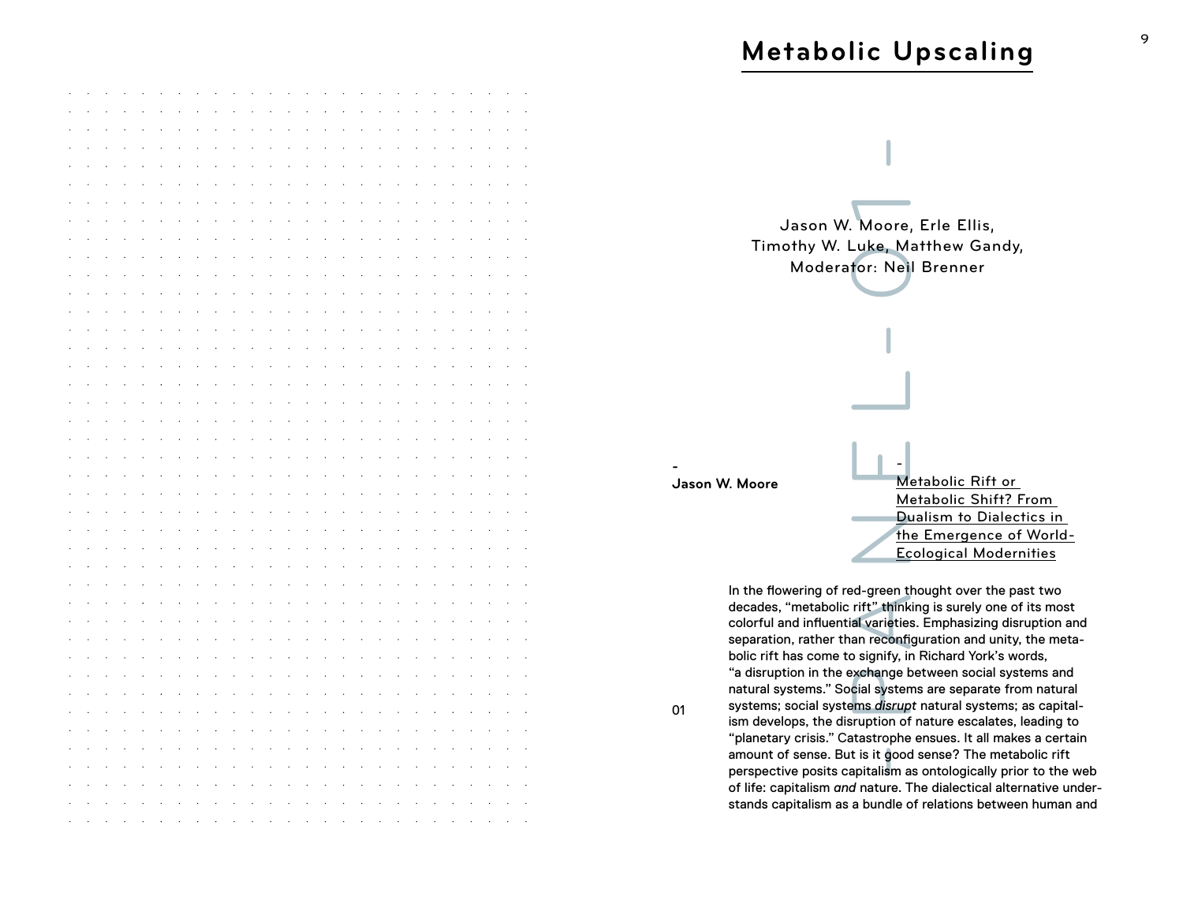# **Metabolic Upscaling**

|    |                      | $\ddot{\phantom{0}}$ |                      | ٠                    |                      | $\bullet$            | $\bullet$            | $\bullet$            | $\cdot$              | $\bullet$            | $\cdot$              |                      | $\bullet$            | $\bullet$               | ٠                    | $\cdot$              | $\bullet$            | $\bullet$                   |                      |                      |                      |                      |                      |                      |                      |
|----|----------------------|----------------------|----------------------|----------------------|----------------------|----------------------|----------------------|----------------------|----------------------|----------------------|----------------------|----------------------|----------------------|-------------------------|----------------------|----------------------|----------------------|-----------------------------|----------------------|----------------------|----------------------|----------------------|----------------------|----------------------|----------------------|
|    |                      | $\cdot$              |                      | ä.                   | $\bullet$            | $\bullet$            | $\bullet$            | $\cdot$              | $\bullet$            | $\ddot{\phantom{a}}$ | $\bullet$            | $\bullet$            | $\cdot$              | $\cdot$                 | $\cdot$              | $\bullet$            | $\ddot{\phantom{a}}$ | $\bullet$                   | $\bullet$            | $\cdot$              | $\blacksquare$       |                      |                      |                      | ×                    |
|    |                      |                      |                      | $\cdot$              | $\cdot$              | $\bullet$            | $\bullet$            | $\bullet$            | $\bullet$            | $\blacksquare$       | $\cdot$              | $\cdot$              | $\bullet$            | $\ddot{\phantom{0}}$    | $\bullet$            | $\bullet$            | $\cdot$              | $\bullet$                   | $\bullet$            |                      | $\bullet$            |                      | $\cdot$              |                      |                      |
|    |                      |                      |                      | $\blacksquare$       |                      |                      | $\cdot$              |                      | $\bullet$            | $\epsilon$           | $\epsilon$           |                      |                      | $\cdot$                 |                      | $\epsilon$           | $\ddot{\phantom{a}}$ | $\epsilon$                  |                      |                      |                      |                      | $\cdot$              | $\cdot$              |                      |
|    |                      |                      |                      |                      |                      |                      |                      |                      |                      |                      |                      |                      |                      |                         |                      |                      |                      |                             |                      |                      |                      |                      |                      |                      |                      |
|    | $\ddot{\phantom{0}}$ |                      |                      | $\cdot$              |                      | $\ddot{\phantom{0}}$ |                      |                      | $\ddot{\phantom{0}}$ | $\ddot{\phantom{a}}$ | $\ddot{\phantom{0}}$ |                      |                      |                         |                      | $\ddot{\phantom{0}}$ |                      | $\ddot{\phantom{0}}$        |                      |                      |                      |                      | $\cdot$              |                      | $\overline{a}$       |
| ä, | $\blacksquare$       | $\bullet$            |                      | $\blacksquare$       |                      | $\bullet$            |                      |                      | $\ddot{\phantom{a}}$ |                      | $\bullet$            |                      |                      |                         |                      | $\bullet$            |                      | $\bullet$                   |                      |                      | $\cdot$              |                      | $\bullet$            |                      |                      |
| ÷. | $\ddot{\phantom{a}}$ |                      |                      | $\ddot{\phantom{0}}$ | $\blacksquare$       | $\blacksquare$       | $\bullet$            | $\ddot{\phantom{0}}$ | $\ddot{\phantom{0}}$ | $\ddot{\phantom{0}}$ | $\cdot$              | $\ddot{\phantom{0}}$ | $\ddot{\phantom{0}}$ | $\ddot{\phantom{0}}$    | $\ddot{\phantom{0}}$ | $\cdot$              | $\ddot{\phantom{a}}$ | $\bullet$                   | $\ddot{\phantom{1}}$ |                      | $\ddot{\phantom{0}}$ |                      | $\blacksquare$       |                      | $\ddot{\phantom{0}}$ |
| ¥, |                      | $\cdot$              |                      |                      | $\epsilon$           | $\ddot{\phantom{a}}$ | $\cdot$              | $\ddot{\phantom{a}}$ | $\cdot$              | ä,                   | $\bullet$            | $\bullet$            | $\ddot{\phantom{a}}$ | $\cdot$                 | $\blacksquare$       | $\ddot{\phantom{1}}$ | $\hat{\textbf{r}}$   | $\bullet$                   | $\cdot$              |                      | $\blacksquare$       |                      | $\bullet$            |                      |                      |
| ÷. | $\bullet$            | $\bullet$            | $\bullet$            | $\bullet$            | $\blacksquare$       | $\bullet$            | $\bullet$            | $\star$              | $\bullet$            | $\bullet$            | $\blacksquare$       | $\bullet$            | $\star$              | $\sim$                  | $\bullet$            | $\bullet$            | $\bullet$            | $\bullet$                   | $\star$              | $\ddot{\phantom{1}}$ | $\bullet$            | $\cdot$              | $\cdot$              | $\cdot$              | $\bullet$            |
|    |                      |                      |                      | ä,                   | ä,                   | $\ddot{\phantom{a}}$ |                      |                      |                      | ä,                   |                      |                      | $\ddot{\phantom{a}}$ |                         |                      |                      |                      |                             |                      | $\cdot$              |                      |                      |                      |                      | ä,                   |
| ÷. | $\blacksquare$       |                      |                      |                      |                      |                      | $\cdot$              | $\cdot$              | $\cdot$              |                      | $\ddot{\phantom{1}}$ | $\blacksquare$       |                      | $\cdot$                 | $\cdot$              | $\ddot{\phantom{1}}$ | $\ddot{\phantom{0}}$ | $\blacksquare$              | $\ddot{\phantom{0}}$ |                      | $\ddot{\phantom{a}}$ | $\bullet$            | $\ddot{\phantom{0}}$ | $\blacksquare$       |                      |
|    | $\ddot{\phantom{0}}$ |                      |                      |                      |                      |                      | $\ddot{\phantom{0}}$ |                      | $\ddot{\phantom{1}}$ |                      | $\blacksquare$       |                      |                      | $\ddot{\phantom{0}}$    |                      | $\cdot$              |                      | $\ddot{\phantom{0}}$        |                      |                      | $\ddot{\phantom{0}}$ |                      | $\cdot$              | $\ddot{\phantom{0}}$ |                      |
| ä, | $\bullet$            | $\cdot$              | $\cdot$              | ä,                   | $\epsilon$           | $\bullet$            | $\epsilon$           | $\ddot{\phantom{a}}$ | $\epsilon$           | $\mathbf{r}$         | $\epsilon$           | $\epsilon$           | $\blacksquare$       | $\ddot{\phantom{a}}$    | $\mathbf{r}$         | $\bullet$            | $\mathbf{r}$         | $\mathcal{L}_{\mathcal{A}}$ | $\epsilon$           | $\blacksquare$       | $\cdot$              | $\epsilon$           | $\bullet$            | $\epsilon$           | ä,                   |
| ÷. |                      | $\ddot{\phantom{0}}$ |                      |                      |                      | $\bullet$            |                      |                      | $\bullet$            | $\bullet$            | $\cdot$              |                      |                      | $\bullet$               |                      | $\bullet$            |                      |                             |                      |                      |                      |                      |                      |                      | $\ddot{\phantom{0}}$ |
| ¥, | $\cdot$              | $\cdot$              |                      | $\bullet$            | $\bullet$            | $\bullet$            | $\cdot$              | $\cdot$              | $\cdot$              | $\bullet$            | $\bullet$            | $\bullet$            | $\bullet$            | $\cdot$                 | $\cdot$              | $\bullet$            | $\bullet$            | $\bullet$                   | $\cdot$              | $\cdot$              | $\cdot$              | $\bullet$            | $\bullet$            | $\blacksquare$       | ä,                   |
| ÷. | $\bullet$            | $\bullet$            |                      | $\bullet$            | $\blacksquare$       | $\bullet$            | $\bullet$            | $\ddot{\phantom{0}}$ | $\bullet$            | $\bullet$            | $\bullet$            | $\bullet$            | $\bullet$            | $\ddot{\phantom{0}}$    | $\ddot{\phantom{a}}$ | $\bullet$            | $\bullet$            | $\bullet$                   | $\bullet$            | $\bullet$            | $\bullet$            |                      | $\bullet$            |                      | $\ddot{\phantom{0}}$ |
|    |                      |                      |                      |                      |                      |                      |                      |                      |                      |                      |                      |                      |                      |                         |                      |                      |                      |                             |                      |                      |                      |                      |                      |                      |                      |
| ÷. | $\bullet$            | $\cdot$              | $\cdot$              | $\bullet$            | $\alpha$             | $\bullet$            | $\sim$               | $\cdot$              | $\epsilon$           | $\hat{\mathbf{r}}$   | $\bar{\nu}$          | $\bullet$            | $\cdot$              | $\cdot$                 | $\bullet$            | $\epsilon$           | $\bullet$            | $\bullet$                   | $\cdot$              | $\cdot$              | $\cdot$              | $\bullet$            | $\bullet$            | $\bullet$            |                      |
| ÷. | $\ddot{\phantom{a}}$ |                      |                      | $\ddot{\phantom{0}}$ | $\ddot{\phantom{a}}$ | $\ddot{\phantom{1}}$ | $\cdot$              | $\ddot{\phantom{0}}$ | $\bullet$            | $\ddot{\phantom{a}}$ | $\ddot{\phantom{a}}$ | $\ddot{\phantom{a}}$ | $\ddot{\phantom{0}}$ | $\ddot{\phantom{0}}$    |                      | $\cdot$              | $\ddot{\phantom{a}}$ | $\bullet$                   | $\ddot{\phantom{1}}$ |                      | $\cdot$              |                      | $\cdot$              | $\ddot{\phantom{0}}$ |                      |
| ÷, | $\ddot{\phantom{0}}$ |                      |                      |                      |                      | $\ddot{\phantom{0}}$ |                      |                      | $\cdot$              |                      | i,                   |                      | $\ddot{\phantom{0}}$ | $\ddot{\phantom{0}}$    |                      | ä,                   |                      | $\ddot{\phantom{0}}$        |                      |                      |                      |                      | J,                   |                      |                      |
| ÷. | $\ddot{\phantom{0}}$ | $\bullet$            |                      | $\bullet$            | $\blacksquare$       | $\bullet$            | $\bullet$            | $\ddot{\phantom{0}}$ | $\bullet$            | $\bullet$            | $\blacksquare$       | $\ddot{\phantom{0}}$ | $\bullet$            | $\ddot{\phantom{a}}$    |                      | $\bullet$            |                      | $\ddot{\phantom{0}}$        | $\bullet$            | $\ddot{\phantom{a}}$ | $\ddot{\phantom{0}}$ | $\cdot$              | $\bullet$            |                      |                      |
| ÷. | $\blacksquare$       |                      |                      |                      |                      | $\cdot$              | $\blacksquare$       | $\blacksquare$       | $\blacksquare$       | $\blacksquare$       | $\blacksquare$       |                      |                      | $\blacksquare$          |                      | $\blacksquare$       |                      | $\blacksquare$              |                      |                      |                      |                      | $\blacksquare$       |                      | ÷.                   |
| ÷. |                      | $\bullet$            |                      | $\blacksquare$       | $\bullet$            | $\bullet$            | $\bullet$            | $\ddot{\phantom{1}}$ | $\bullet$            | $\ddot{\phantom{0}}$ | $\blacksquare$       | $\bullet$            | $\bullet$            | $\star$                 | $\bullet$            | $\bullet$            | $\blacksquare$       | $\ddot{\phantom{1}}$        | $\bullet$            | $\bullet$            | $\bullet$            |                      | $\blacksquare$       |                      | $\ddot{\phantom{0}}$ |
| ÷. | $\bullet$            | $\cdot$              | $\bullet$            | $\cdot$              | $\bullet$            | $\bullet$            | $\bullet$            | $\cdot$              | $\bullet$            | $\bullet$            | $\bullet$            | $\cdot$              | $\bullet$            | $\bullet$               | $\bullet$            | $\bullet$            | $\bullet$            | $\bullet$                   | $\cdot$              | $\cdot$              | $\bullet$            | $\cdot$              | $\cdot$              |                      | $\bullet$            |
|    |                      |                      |                      |                      |                      |                      |                      |                      |                      |                      |                      |                      |                      |                         |                      |                      |                      |                             |                      |                      |                      |                      |                      |                      |                      |
| ÷. |                      | $\ddot{\phantom{0}}$ |                      | $\ddot{\phantom{a}}$ | $\blacksquare$       | $\ddot{\phantom{1}}$ | $\Box$               | $\ddot{\phantom{1}}$ | $\bullet$            | $\ddot{\phantom{1}}$ | $\blacksquare$       | $\cdot$              | $\ddot{\phantom{0}}$ | $\cdot$                 | $\ddot{\phantom{1}}$ | $\ddot{\phantom{0}}$ | $\cdot$              | $\ddot{\phantom{1}}$        | $\cdot$              |                      | $\ddot{\phantom{0}}$ |                      | $\blacksquare$       |                      |                      |
|    | $\ddot{\phantom{a}}$ | $\ddot{\phantom{0}}$ |                      | $\bullet$            |                      | $\ddot{\phantom{0}}$ | $\cdot$              | $\ddot{\phantom{0}}$ | $\cdot$              | $\bullet$            | $\ddot{\phantom{a}}$ | $\blacksquare$       | $\ddot{\phantom{0}}$ | $\cdot$                 | $\ddot{\phantom{0}}$ | $\ddot{\phantom{a}}$ | $\ddot{\phantom{0}}$ | $\ddot{\phantom{a}}$        | $\ddot{\phantom{0}}$ |                      | $\bullet$            |                      | $\ddot{\phantom{1}}$ | $\cdot$              |                      |
|    | $\ddot{\phantom{a}}$ | $\ddot{\phantom{0}}$ |                      | $\ddot{\phantom{a}}$ | $\epsilon$           | $\bullet$            | $\ddot{\phantom{a}}$ | $\ddot{\phantom{0}}$ | $\ddot{\phantom{a}}$ | $\bullet$            | $\bullet$            | $\ddot{\phantom{0}}$ | $\ddot{\phantom{0}}$ | $\ddot{\phantom{a}}$    | $\bullet$            | $\bullet$            | $\bullet$            | $\ddot{\phantom{0}}$        | $\ddot{\phantom{0}}$ | $\ddot{\phantom{0}}$ | $\ddot{\phantom{0}}$ | $\ddot{\phantom{a}}$ | $\ddot{\phantom{a}}$ | $\cdot$              | ÷.                   |
| ÷  | $\bullet$            | $\ddot{\phantom{0}}$ |                      | $\ddot{\phantom{0}}$ |                      | $\bullet$            | $\bullet$            |                      | $\bullet$            | $\bullet$            | ä,                   | $\bullet$            | $\bullet$            | $\bullet$               | $\blacksquare$       | $\bullet$            | $\bullet$            | $\ddot{\phantom{0}}$        | $\bullet$            |                      |                      |                      | $\bullet$            |                      |                      |
| ¥, | $\cdot$              | $\bullet$            |                      | $\ddot{\phantom{a}}$ | $\bullet$            | $\cdot$              | $\bullet$            | $\ddot{\phantom{a}}$ | $\bullet$            | $\mathcal{L}$        | $\bullet$            | $\cdot$              | $\cdot$              | $\bullet$               | $\cdot$              | $\bullet$            | $\bullet$            | $\cdot$                     | $\ddot{\phantom{0}}$ |                      | $\bullet$            | $\cdot$              | $\bullet$            | $\cdot$              | $\ddot{\phantom{0}}$ |
| ÷, | $\ddot{\phantom{0}}$ | $\ddot{\phantom{0}}$ |                      |                      |                      | $\ddot{\phantom{1}}$ | $\cdot$              | $\ddot{\phantom{0}}$ | $\ddot{\phantom{a}}$ | $\bullet$            | $\blacksquare$       |                      | $\ddot{\phantom{0}}$ | $\cdot$                 |                      | $\ddot{\phantom{1}}$ |                      |                             |                      |                      |                      |                      | $\blacksquare$       |                      |                      |
|    | $\cdot$              |                      | $\ddot{\phantom{a}}$ |                      |                      | $\ddot{\phantom{a}}$ | $\Delta$             | $\ddot{\phantom{a}}$ | $\Delta$             | $\epsilon$           | $\epsilon$           |                      | $\bullet$            | $\sim$                  | $\ddot{\phantom{a}}$ | $\mathbf{r}$         | $\epsilon$           | $\bullet$                   |                      |                      |                      |                      |                      |                      | $\ddot{\phantom{0}}$ |
| ÷. |                      | $\ddot{\phantom{0}}$ |                      | $\bullet$            | $\bullet$            |                      |                      |                      |                      |                      |                      | $\bullet$            |                      |                         |                      |                      |                      |                             | $\cdot$              | $\cdot$              | $\cdot$              | $\bullet$            | $\bullet$            | $\blacksquare$       |                      |
| ÷  | $\ddot{\phantom{a}}$ |                      |                      | $\ddot{\phantom{0}}$ | ÷,                   | $\ddot{\phantom{0}}$ | $\bullet$            | $\ddot{\phantom{1}}$ | $\bullet$            | $\epsilon$           | $\cdot$              | $\bullet$            | $\ddot{\phantom{0}}$ | $\ddot{\phantom{a}}$    | $\ddot{\phantom{0}}$ | $\bullet$            | $\cdot$              | $\bullet$                   | $\ddot{\phantom{0}}$ |                      | $\bullet$            |                      | $\cdot$              | $\ddot{\phantom{0}}$ | ÷.                   |
|    |                      |                      |                      |                      |                      |                      |                      |                      |                      |                      |                      |                      |                      |                         |                      |                      |                      |                             |                      |                      |                      |                      | $\ddot{\phantom{a}}$ |                      |                      |
| ÷. | $\ddot{\phantom{0}}$ | $\ddot{\phantom{0}}$ |                      | $\ddot{\phantom{0}}$ |                      |                      |                      |                      | $\bullet$            | $\ddot{\phantom{a}}$ | ä,                   | $\bullet$            |                      | $\ddot{\phantom{0}}$    |                      | $\bullet$            |                      | $\ddot{\phantom{0}}$        | $\cdot$              |                      |                      |                      | $\bullet$            | $\ddot{\phantom{0}}$ |                      |
|    |                      |                      |                      |                      |                      |                      |                      |                      |                      |                      |                      |                      |                      |                         |                      | ä,                   |                      |                             |                      |                      |                      |                      |                      |                      |                      |
| ÷. |                      | $\bullet$            |                      | $\bullet$            | $\blacksquare$       | $\bullet$            | $\ddot{\phantom{1}}$ | $\bullet$            | $\bullet$            | $\bullet$            | $\cdot$              | $\bullet$            | $\bullet$            | $\ddot{\phantom{0}}$    | $\bullet$            | $\cdot$              | $\bullet$            | $\bullet$                   | $\bullet$            |                      | $\bullet$            |                      | $\bullet$            |                      | $\ddot{\phantom{0}}$ |
| ò. | $\mathbf{r}$         | $\cdot$              |                      | $\blacksquare$       | $\bullet$            | $\bullet$            | $\bullet$            | $\cdot$              | $\cdot$              | $\ddot{\phantom{a}}$ | $\blacksquare$       | $\bullet$            | $\bullet$            | $\bullet$               | $\blacksquare$       | $\bullet$            | $\bullet$            | $\bullet$                   | $\cdot$              | $\cdot$              | $\cdot$              | $\blacksquare$       | $\bullet$            |                      | $\bullet$            |
|    |                      |                      |                      |                      |                      |                      |                      |                      |                      |                      |                      |                      |                      |                         |                      |                      |                      |                             |                      |                      |                      |                      |                      |                      |                      |
|    |                      | $\ddot{\phantom{0}}$ |                      | $\ddot{\phantom{0}}$ | $\blacksquare$       | $\bullet$            | $\bullet$            | $\ddot{\phantom{0}}$ | $\bullet$            | $\blacksquare$       | $\cdot$              | $\bullet$            | $\bullet$            | $\bullet$               | $\bullet$            | $\cdot$              | $\bullet$            | $\bullet$                   | $\ddot{\phantom{1}}$ | $\ddot{\phantom{0}}$ | $\bullet$            | $\bullet$            | $\cdot$              |                      |                      |
|    |                      |                      |                      | ä,                   |                      | $\cdot$              | $\cdot$              |                      | $\bullet$            | $\ddot{\phantom{a}}$ | $\epsilon$           |                      | $\ddot{\phantom{a}}$ | $\cdot$                 | $\ddot{\phantom{a}}$ | $\blacksquare$       | $\bullet$            | $\cdot$                     |                      |                      | $\ddot{\phantom{a}}$ |                      |                      |                      |                      |
|    | $\ddot{\phantom{a}}$ |                      |                      | $\ddot{\phantom{0}}$ |                      | $\ddot{\phantom{0}}$ |                      | $\ddot{\phantom{0}}$ | $\ddot{\phantom{0}}$ | $\ddot{\phantom{a}}$ | $\ddot{\phantom{0}}$ |                      | $\ddot{\phantom{a}}$ | $\ddot{\phantom{a}}$    | $\ddot{\phantom{a}}$ | $\ddot{\phantom{0}}$ | $\ddot{\phantom{a}}$ | $\ddot{\phantom{0}}$        |                      |                      |                      |                      | $\cdot$              |                      |                      |
|    |                      |                      |                      | ä,                   |                      | $\epsilon$           |                      | $\ddot{\phantom{0}}$ | $\ddot{\phantom{a}}$ | ÷.                   | ä,                   |                      | $\ddot{\phantom{a}}$ | $\ddot{\phantom{a}}$    | $\ddot{\phantom{a}}$ | $\ddot{\phantom{a}}$ |                      | $\ddot{\phantom{0}}$        |                      |                      |                      |                      |                      |                      |                      |
|    | $\ddot{\phantom{0}}$ | $\ddot{\phantom{0}}$ | $\ddot{\phantom{0}}$ | $\ddot{\phantom{0}}$ | $\blacksquare$       | $\bullet$            | $\sim 10^{-11}$      | $\ddot{\phantom{0}}$ | $\bullet$            | $\Box$               | $\ddot{\phantom{a}}$ | $\star$              | $\ddot{\phantom{0}}$ | $\sim 100$ km s $^{-1}$ | $\ddot{\phantom{0}}$ | $\blacksquare$       | $\Box$               | $\ddot{\phantom{0}}$        | $\ddot{\phantom{1}}$ | $\Box$               | $\ddot{\phantom{a}}$ | $\ddot{\phantom{a}}$ | $\blacksquare$       | $\ddot{\phantom{0}}$ |                      |
|    |                      |                      |                      |                      |                      |                      |                      |                      |                      |                      |                      |                      |                      |                         |                      |                      |                      |                             |                      |                      |                      |                      |                      |                      |                      |

Moore<br>
Luke, M<br>
for: Nei<br>
for: Nei<br>
for: Nei<br>
For Higher Higher<br>
Lucky Higher<br>
Ec<br>
Ec<br>
d-green ti<br>
ift" think<br>
Ec<br>
d-green ti<br>
signify, ir<br>
xchange t<br>
signify, ir<br>
xchange t<br>
signify, ir<br>
xchange t<br>
signify, ir<br>
xchange t<br> **Jason W. Moore** - Metabolic Rift or Metabolic Shift? From Dualism to Dialectics in the Emergence of World-Jason W. Moore, Erle Ellis, Timothy W. Luke, Matthew Gandy, Moderator: Neil Brenner

**-**

01

In the flowering of red-green thought over the past two decades, "metabolic rift" thinking is surely one of its most colorful and influential varieties. Emphasizing disruption and separation, rather than reconfiguration and unity, the metabolic rift has come to signify, in Richard York's words, "a disruption in the exchange between social systems and natural systems." Social systems are separate from natural systems; social systems *disrupt* natural systems; as capitalism develops, the disruption of nature escalates, leading to "planetary crisis." Catastrophe ensues. It all makes a certain amount of sense. But is it good sense? The metabolic rift perspective posits capitalism as ontologically prior to the web of life: capitalism *and* nature. The dialectical alternative understands capitalism as a bundle of relations between human and

Ecological Modernities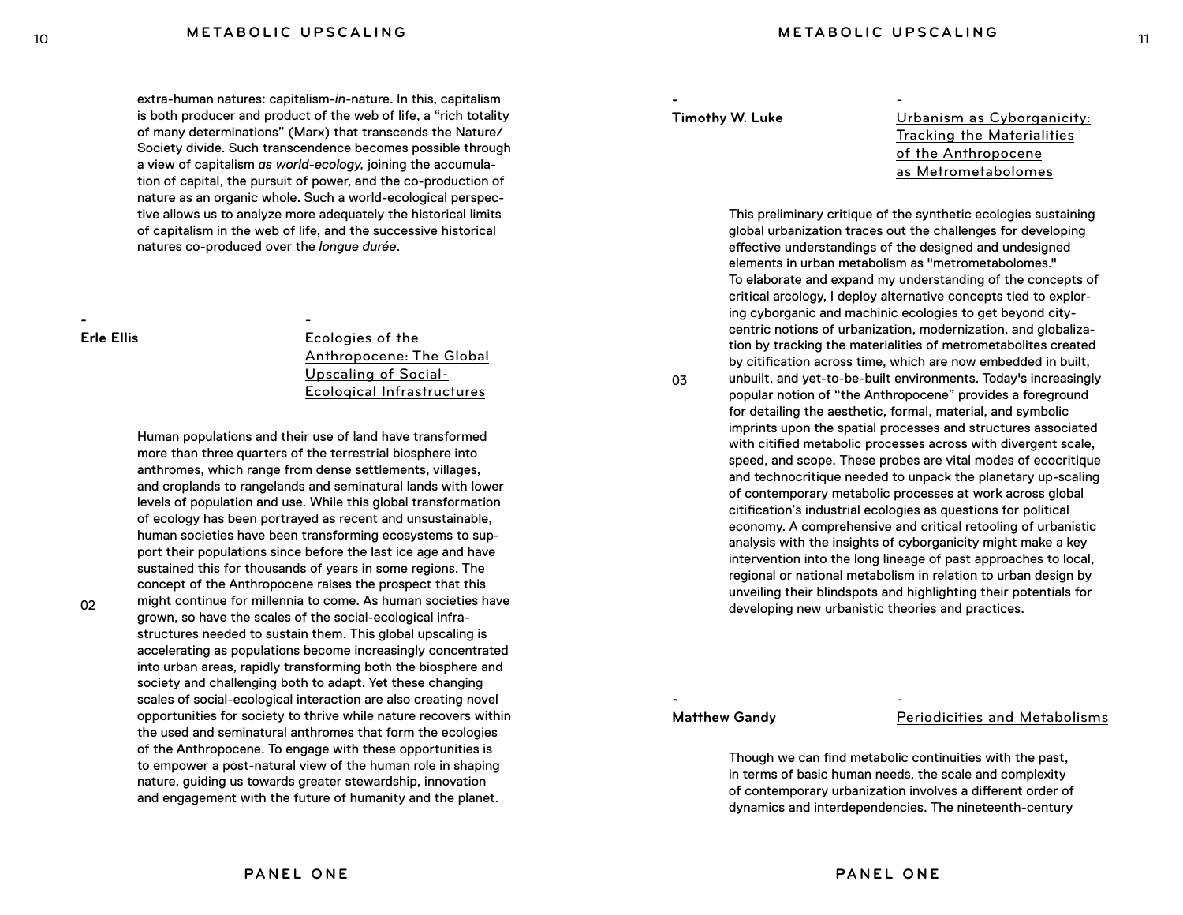-

extra-human natures: capitalism-*in*-nature. In this, capitalism is both producer and product of the web of life, a "rich totality of many determinations" (Marx) that transcends the Nature/ Society divide. Such transcendence becomes possible through a view of capitalism *as world-ecology,* joining the accumulation of capital, the pursuit of power, and the co-production of nature as an organic whole. Such a world-ecological perspective allows us to analyze more adequately the historical limits of capitalism in the web of life, and the successive historical natures co-produced over the *longue durée*.

-

**Erle Ellis**

**-**

02

Ecologies of the Anthropocene: The Global Upscaling of Social-Ecological Infrastructures

Human populations and their use of land have transformed more than three quarters of the terrestrial biosphere into anthromes, which range from dense settlements, villages, and croplands to rangelands and seminatural lands with lower levels of population and use. While this global transformation of ecology has been portrayed as recent and unsustainable, human societies have been transforming ecosystems to support their populations since before the last ice age and have sustained this for thousands of years in some regions. The concept of the Anthropocene raises the prospect that this might continue for millennia to come. As human societies have grown, so have the scales of the social-ecological infrastructures needed to sustain them. This global upscaling is accelerating as populations become increasingly concentrated into urban areas, rapidly transforming both the biosphere and society and challenging both to adapt. Yet these changing scales of social-ecological interaction are also creating novel opportunities for society to thrive while nature recovers within the used and seminatural anthromes that form the ecologies of the Anthropocene. To engage with these opportunities is to empower a post-natural view of the human role in shaping nature, guiding us towards greater stewardship, innovation and engagement with the future of humanity and the planet.

**Timothy W. Luke**

**-**

03

Urbanism as Cyborganicity: Tracking the Materialities of the Anthropocene as Metrometabolomes

This preliminary critique of the synthetic ecologies sustaining global urbanization traces out the challenges for developing effective understandings of the designed and undesigned elements in urban metabolism as "metrometabolomes." To elaborate and expand my understanding of the concepts of critical arcology, I deploy alternative concepts tied to exploring cyborganic and machinic ecologies to get beyond citycentric notions of urbanization, modernization, and globalization by tracking the materialities of metrometabolites created by citification across time, which are now embedded in built,

unbuilt, and yet-to-be-built environments. Today's increasingly popular notion of "the Anthropocene" provides a foreground for detailing the aesthetic, formal, material, and symbolic imprints upon the spatial processes and structures associated with citified metabolic processes across with divergent scale, speed, and scope. These probes are vital modes of ecocritique and technocritique needed to unpack the planetary up-scaling of contemporary metabolic processes at work across global citification's industrial ecologies as questions for political economy. A comprehensive and critical retooling of urbanistic analysis with the insights of cyborganicity might make a key intervention into the long lineage of past approaches to local, regional or national metabolism in relation to urban design by unveiling their blindspots and highlighting their potentials for developing new urbanistic theories and practices.

**Matthew Gandy** 

**-**

Periodicities and Metabolisms

Though we can find metabolic continuities with the past, in terms of basic human needs, the scale and complexity of contemporary urbanization involves a different order of dynamics and interdependencies. The nineteenth-century

-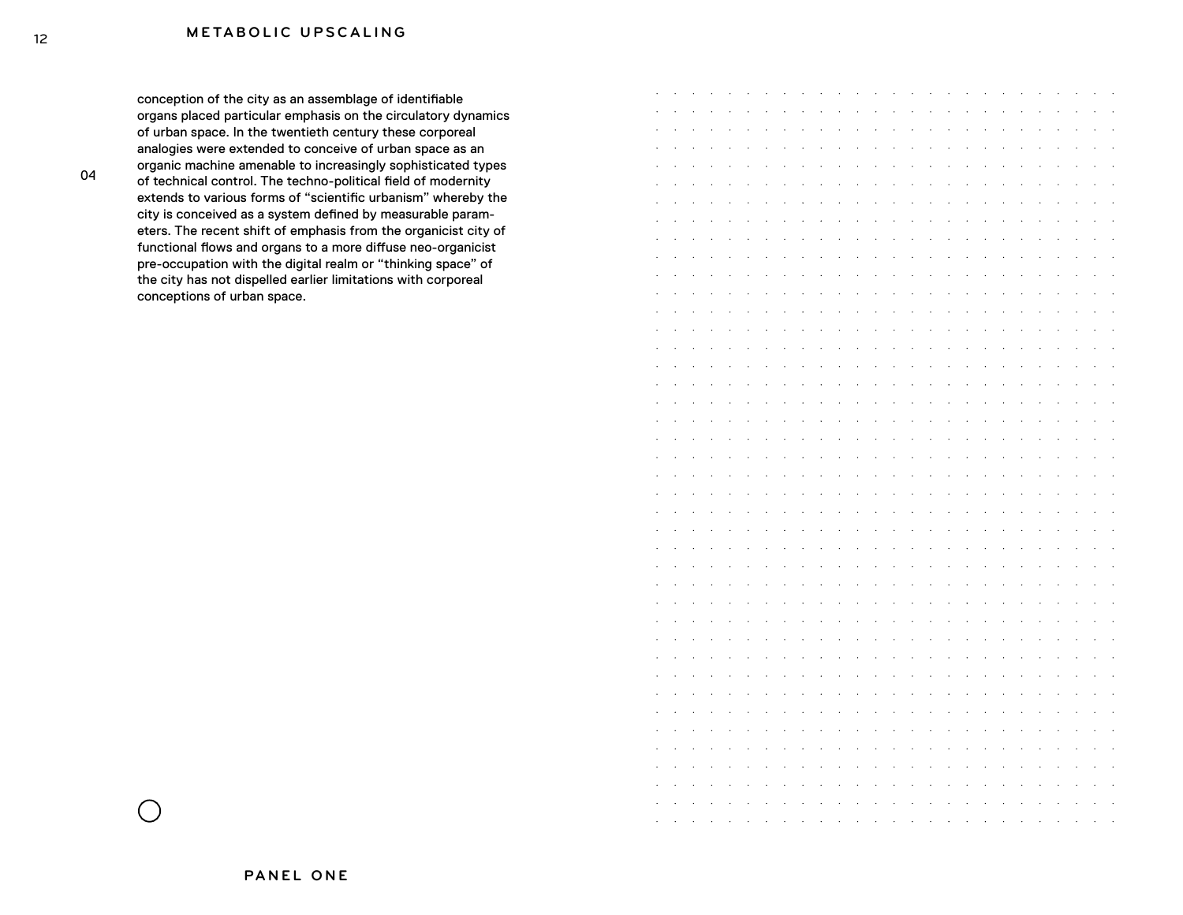conception of the city as an assemblage of identifiable organs placed particular emphasis on the circulatory dynamics of urban space. In the twentieth century these corporeal analogies were extended to conceive of urban space as an organic machine amenable to increasingly sophisticated types of technical control. The techno-political field of modernity extends to various forms of "scientific urbanism" whereby the city is conceived as a system defined by measurable parameters. The recent shift of emphasis from the organicist city of functional flows and organs to a more diffuse neo-organicist pre-occupation with the digital realm or "thinking space" of the city has not dispelled earlier limitations with corporeal conceptions of urban space.

|  |  | i,             | ÷. | $\ddot{\phantom{0}}$ | $\ddot{\phantom{0}}$ | $\ddot{\phantom{a}}$ | $\ddot{\phantom{a}}$ | $\hat{\mathbf{r}}$ | l,             | $\ddot{\phantom{a}}$ | $\ddot{\phantom{a}}$ | $\ddot{\phantom{a}}$ | $\ddot{\phantom{0}}$ | l, | $\ddot{\phantom{a}}$ | $\ddot{\phantom{0}}$ | $\overline{a}$ |  |  |  |
|--|--|----------------|----|----------------------|----------------------|----------------------|----------------------|--------------------|----------------|----------------------|----------------------|----------------------|----------------------|----|----------------------|----------------------|----------------|--|--|--|
|  |  | $\overline{a}$ |    | $\ddot{\phantom{0}}$ | $\overline{a}$       | $\overline{a}$       | $\overline{a}$       | $\overline{a}$     | $\overline{a}$ | $\overline{a}$       | $\ddot{\phantom{0}}$ | $\overline{a}$       | $\overline{a}$       |    |                      |                      |                |  |  |  |
|  |  |                |    |                      |                      |                      |                      |                    |                |                      |                      |                      |                      |    |                      |                      |                |  |  |  |
|  |  |                |    |                      |                      |                      |                      |                    |                |                      |                      |                      |                      |    |                      |                      |                |  |  |  |
|  |  |                |    |                      |                      |                      |                      |                    |                |                      |                      |                      |                      |    |                      |                      |                |  |  |  |
|  |  |                |    |                      |                      |                      |                      |                    |                |                      |                      |                      |                      |    |                      |                      |                |  |  |  |
|  |  |                |    |                      |                      |                      |                      |                    |                |                      |                      |                      |                      |    |                      |                      |                |  |  |  |
|  |  |                |    |                      |                      |                      |                      |                    |                |                      |                      |                      |                      |    |                      |                      |                |  |  |  |
|  |  |                |    |                      |                      |                      |                      |                    |                |                      |                      |                      |                      |    |                      |                      |                |  |  |  |
|  |  |                |    |                      |                      |                      |                      | $\overline{a}$     |                |                      |                      | $\overline{a}$       |                      |    |                      |                      |                |  |  |  |
|  |  |                |    |                      |                      |                      |                      |                    |                |                      |                      |                      |                      |    |                      |                      |                |  |  |  |
|  |  |                |    |                      |                      |                      |                      |                    |                |                      |                      |                      |                      |    |                      |                      |                |  |  |  |
|  |  |                |    |                      |                      |                      |                      |                    |                |                      |                      |                      |                      |    |                      |                      |                |  |  |  |
|  |  |                |    |                      |                      |                      |                      |                    |                |                      |                      |                      |                      |    |                      |                      |                |  |  |  |
|  |  |                |    |                      |                      |                      |                      |                    |                |                      |                      |                      |                      |    |                      |                      |                |  |  |  |
|  |  |                |    |                      |                      |                      |                      |                    |                |                      |                      |                      |                      |    |                      |                      |                |  |  |  |
|  |  |                |    |                      |                      |                      |                      |                    |                |                      |                      |                      |                      |    |                      |                      |                |  |  |  |
|  |  |                |    |                      |                      |                      |                      |                    |                |                      |                      |                      |                      |    |                      |                      |                |  |  |  |
|  |  |                |    |                      |                      |                      |                      |                    |                |                      |                      |                      |                      |    |                      |                      |                |  |  |  |
|  |  |                |    |                      |                      |                      |                      |                    |                |                      |                      |                      |                      |    |                      |                      |                |  |  |  |
|  |  |                |    |                      |                      |                      |                      |                    |                |                      |                      |                      |                      |    |                      |                      |                |  |  |  |
|  |  |                |    |                      |                      |                      |                      |                    |                |                      |                      |                      |                      |    |                      |                      |                |  |  |  |
|  |  |                |    |                      |                      |                      |                      |                    |                |                      |                      |                      |                      |    |                      |                      |                |  |  |  |
|  |  |                |    |                      |                      |                      |                      |                    |                |                      |                      |                      |                      |    |                      |                      |                |  |  |  |
|  |  |                |    |                      |                      |                      |                      |                    |                |                      |                      |                      |                      |    |                      |                      |                |  |  |  |
|  |  |                |    |                      |                      |                      |                      |                    |                |                      |                      |                      |                      |    |                      |                      |                |  |  |  |
|  |  |                |    |                      |                      |                      |                      |                    |                |                      |                      |                      |                      |    |                      |                      |                |  |  |  |
|  |  |                |    |                      |                      |                      |                      |                    |                |                      |                      |                      |                      |    |                      |                      |                |  |  |  |
|  |  |                |    |                      |                      |                      |                      |                    |                |                      |                      |                      |                      |    |                      |                      |                |  |  |  |
|  |  |                |    |                      |                      |                      |                      |                    |                |                      |                      |                      |                      |    |                      |                      |                |  |  |  |
|  |  |                |    |                      |                      |                      |                      |                    |                |                      |                      |                      |                      |    |                      |                      |                |  |  |  |
|  |  |                |    |                      |                      |                      |                      |                    |                |                      |                      |                      |                      |    |                      |                      |                |  |  |  |
|  |  |                |    |                      |                      |                      |                      |                    |                |                      |                      |                      |                      |    |                      |                      |                |  |  |  |
|  |  |                |    |                      |                      |                      |                      |                    |                |                      |                      |                      |                      |    |                      |                      |                |  |  |  |
|  |  |                |    |                      |                      |                      |                      |                    |                |                      |                      |                      |                      |    |                      |                      |                |  |  |  |
|  |  |                |    |                      |                      |                      |                      |                    |                |                      |                      |                      |                      |    |                      |                      |                |  |  |  |

04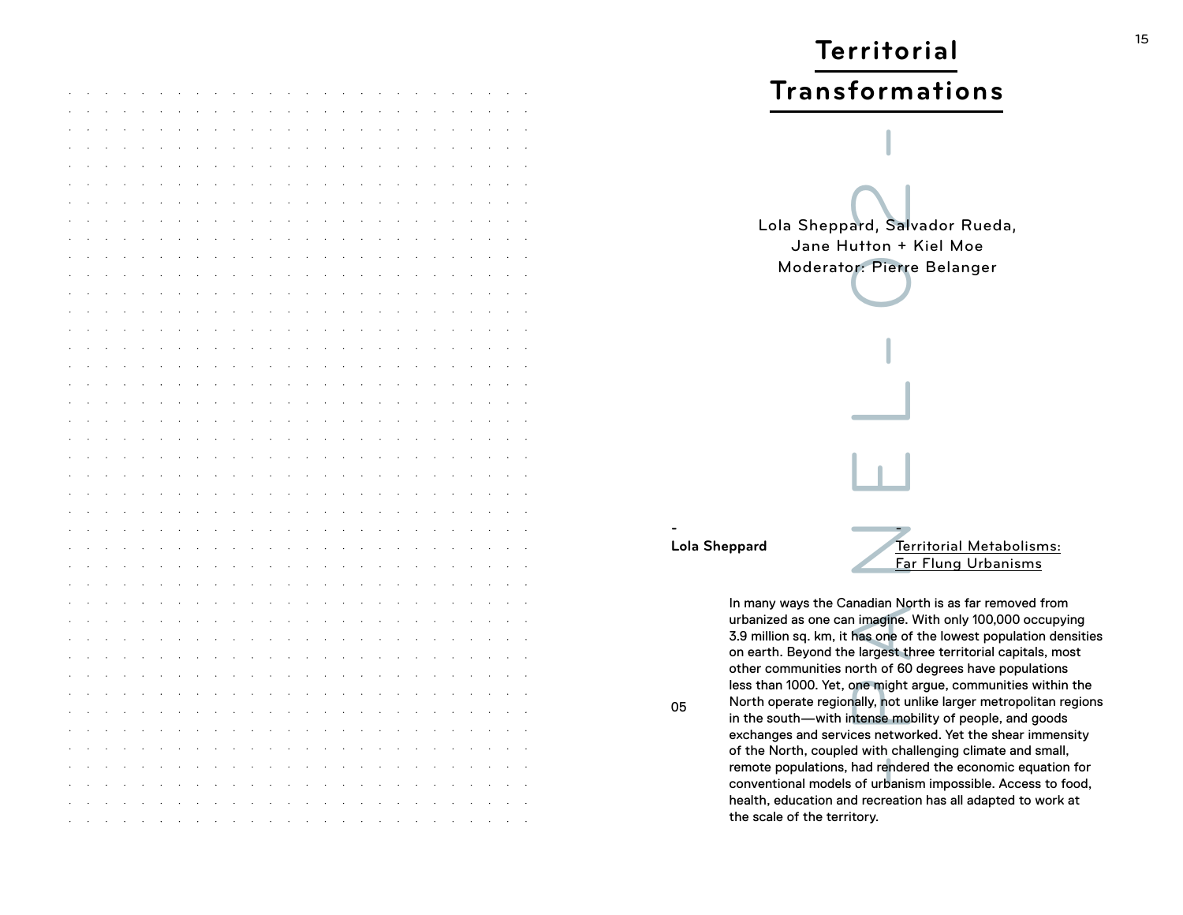# $\mathbf{r} = \mathbf{r} + \mathbf{r} + \mathbf{r} + \mathbf{r} + \mathbf{r} + \mathbf{r} + \mathbf{r} + \mathbf{r} + \mathbf{r} + \mathbf{r} + \mathbf{r} + \mathbf{r} + \mathbf{r} + \mathbf{r} + \mathbf{r} + \mathbf{r} + \mathbf{r} + \mathbf{r} + \mathbf{r} + \mathbf{r} + \mathbf{r} + \mathbf{r} + \mathbf{r} + \mathbf{r} + \mathbf{r} + \mathbf{r} + \mathbf{r} + \mathbf{r} + \mathbf{r} + \mathbf{r} + \mathbf$

# <sup>15</sup> **Territorial Transformations**



In many ways the Canadian North is as far removed from urbanized as one can imagine. With only 100,000 occupying 3.9 million sq. km, it has one of the lowest population densities on earth. Beyond the largest three territorial capitals, most other communities north of 60 degrees have populations less than 1000. Yet, one might argue, communities within the North operate regionally, not unlike larger metropolitan regions in the south—with intense mobility of people, and goods exchanges and services networked. Yet the shear immensity of the North, coupled with challenging climate and small, remote populations, had rendered the economic equation for conventional models of urbanism impossible. Access to food, health, education and recreation has all adapted to work at the scale of the territory.

05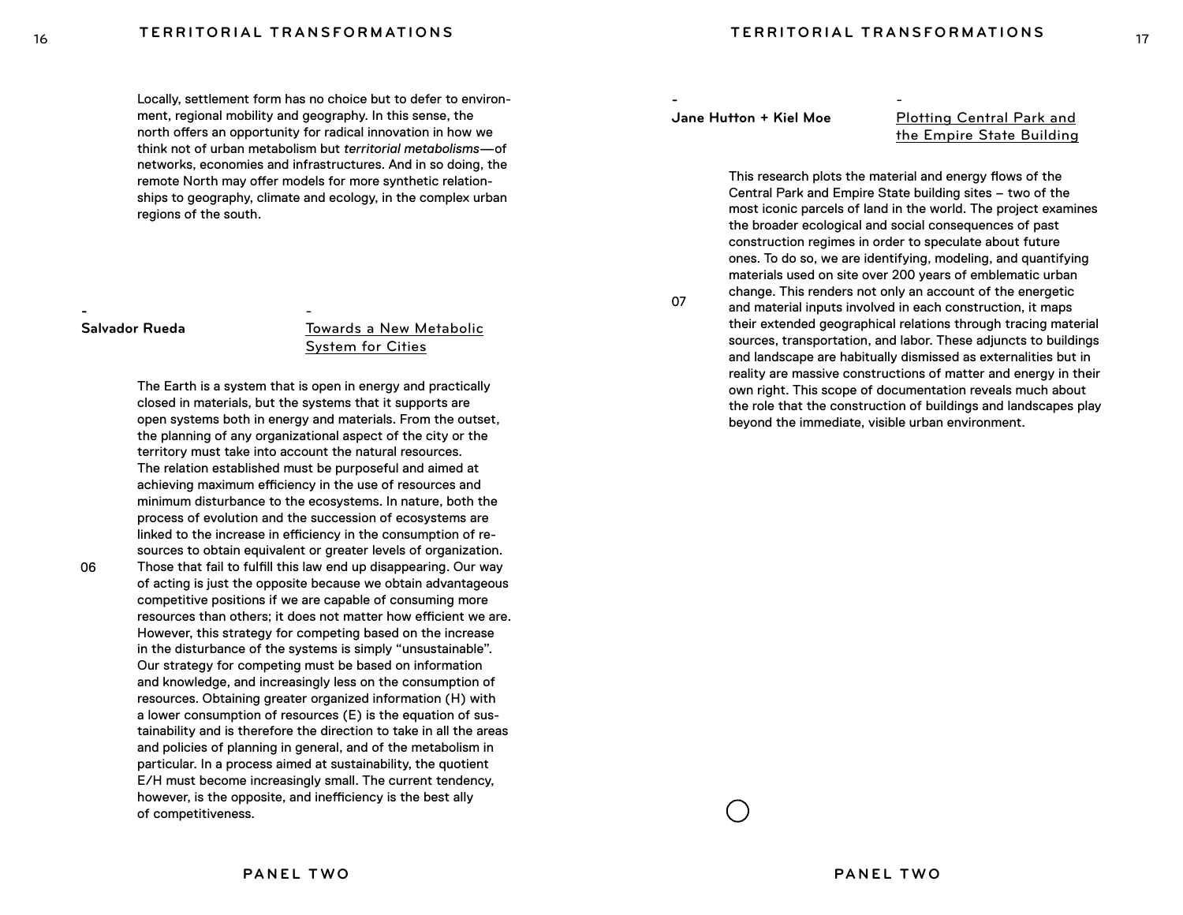-

Locally, settlement form has no choice but to defer to environment, regional mobility and geography. In this sense, the north offers an opportunity for radical innovation in how we think not of urban metabolism but *territorial metabolisms*—of networks, economies and infrastructures. And in so doing, the remote North may offer models for more synthetic relationships to geography, climate and ecology, in the complex urban regions of the south.

-

# **Salvador Rueda**

**-**

06

# Towards a New Metabolic System for Cities

The Earth is a system that is open in energy and practically closed in materials, but the systems that it supports are open systems both in energy and materials. From the outset, the planning of any organizational aspect of the city or the territory must take into account the natural resources. The relation established must be purposeful and aimed at achieving maximum efficiency in the use of resources and minimum disturbance to the ecosystems. In nature, both the process of evolution and the succession of ecosystems are linked to the increase in efficiency in the consumption of resources to obtain equivalent or greater levels of organization. Those that fail to fulfill this law end up disappearing. Our way of acting is just the opposite because we obtain advantageous competitive positions if we are capable of consuming more resources than others; it does not matter how efficient we are. However, this strategy for competing based on the increase in the disturbance of the systems is simply "unsustainable". Our strategy for competing must be based on information and knowledge, and increasingly less on the consumption of resources. Obtaining greater organized information (H) with a lower consumption of resources (E) is the equation of sustainability and is therefore the direction to take in all the areas and policies of planning in general, and of the metabolism in particular. In a process aimed at sustainability, the quotient E/H must become increasingly small. The current tendency, however, is the opposite, and inefficiency is the best ally of competitiveness.

**Jane Hutton + Kiel Moe**

07

**-**

# Plotting Central Park and the Empire State Building

This research plots the material and energy flows of the Central Park and Empire State building sites – two of the most iconic parcels of land in the world. The project examines the broader ecological and social consequences of past construction regimes in order to speculate about future ones. To do so, we are identifying, modeling, and quantifying materials used on site over 200 years of emblematic urban change. This renders not only an account of the energetic and material inputs involved in each construction, it maps their extended geographical relations through tracing material sources, transportation, and labor. These adjuncts to buildings and landscape are habitually dismissed as externalities but in reality are massive constructions of matter and energy in their own right. This scope of documentation reveals much about the role that the construction of buildings and landscapes play beyond the immediate, visible urban environment.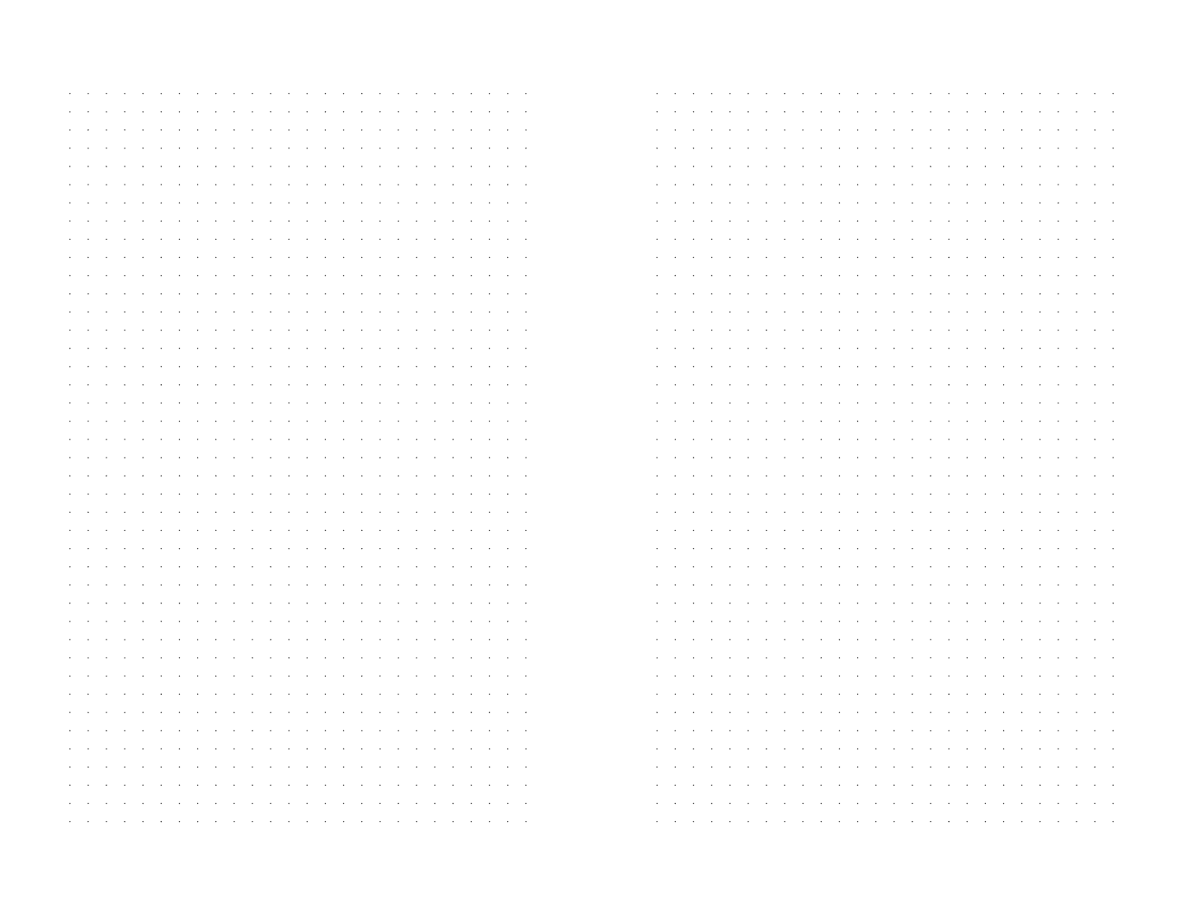|    |  |                      |                      |                      | $\cdot$              | $\ddot{\phantom{0}}$ | $\bullet$            | $\ddot{\phantom{a}}$ | $\ddot{\phantom{0}}$ | $\cdot$                   | $\bullet$            | $\ddot{\phantom{1}}$ | $\ddot{\phantom{0}}$ | $\ddot{\phantom{0}}$ | $\blacksquare$       | $\blacksquare$ |                      | $\ddot{\phantom{0}}$ |                      |                      |                      |                      |                      |
|----|--|----------------------|----------------------|----------------------|----------------------|----------------------|----------------------|----------------------|----------------------|---------------------------|----------------------|----------------------|----------------------|----------------------|----------------------|----------------|----------------------|----------------------|----------------------|----------------------|----------------------|----------------------|----------------------|
|    |  | $\cdot$              | $\cdot$              | ä,                   | ä,                   | $\cdot$              | $\ddot{\phantom{0}}$ | $\ddot{\phantom{a}}$ | $\ddot{\phantom{a}}$ | $\mathbf{a} = \mathbf{a}$ | $\mathcal{A}$        | $\ddot{\phantom{a}}$ | $\ddot{\phantom{0}}$ | $\blacksquare$       | $\ddot{\phantom{0}}$ | ł,             | $\bullet$            | $\cdot$              | $\cdot$              |                      |                      |                      |                      |
| ٠  |  | $\ddot{\phantom{0}}$ | $\ddot{\phantom{0}}$ | $\cdot$              |                      | $\bullet$            | $\bullet$            | $\bullet$            | $\bullet$            | $\blacksquare$            | $\ddot{\phantom{1}}$ | $\bullet$            | $\bullet$            | $\ddot{\phantom{1}}$ | $\bullet$            | $\blacksquare$ | $\bullet$            | $\ddot{\phantom{0}}$ | $\ddot{\phantom{0}}$ |                      | $\cdot$              |                      |                      |
|    |  |                      |                      |                      |                      |                      |                      | $\ddot{\phantom{0}}$ | l.                   | $\ddot{\phantom{a}}$      | $\ddot{\phantom{a}}$ | $\blacksquare$       | $\ddot{\phantom{a}}$ | $\ddot{\phantom{a}}$ | l.                   | l,             |                      |                      |                      |                      |                      |                      |                      |
|    |  |                      |                      |                      |                      |                      |                      | $\ddot{\phantom{0}}$ |                      | $\ddot{\phantom{a}}$      | $\ddot{\phantom{0}}$ | $\ddot{\phantom{0}}$ | $\ddot{\phantom{0}}$ |                      |                      |                |                      |                      |                      |                      |                      |                      |                      |
|    |  |                      |                      |                      | l.                   |                      | ï                    | $\ddot{\phantom{a}}$ | k.                   | ÷,                        | J.                   | ÷.                   | ÷.                   |                      |                      |                |                      |                      |                      |                      |                      |                      |                      |
|    |  |                      |                      |                      |                      |                      |                      | $\ddot{\phantom{0}}$ |                      | $\ddot{\phantom{0}}$      | $\ddot{\phantom{0}}$ | $\ddot{\phantom{0}}$ | $\ddot{\phantom{0}}$ |                      |                      |                |                      |                      |                      |                      |                      |                      |                      |
|    |  |                      | ï                    |                      | ä,                   |                      | $\cdot$              |                      | ÷,                   | ÷,                        | ä,                   | $\cdot$              | $\ddot{\phantom{a}}$ |                      |                      |                |                      |                      |                      |                      |                      |                      | Ĭ.                   |
|    |  |                      |                      |                      |                      |                      |                      |                      |                      | $\cdot$                   |                      |                      |                      |                      |                      |                |                      |                      |                      |                      |                      |                      |                      |
|    |  |                      |                      |                      |                      |                      |                      |                      |                      |                           | ÷,                   |                      |                      |                      |                      |                |                      |                      |                      |                      |                      |                      |                      |
|    |  |                      |                      |                      |                      |                      |                      |                      |                      |                           | $\ddot{\phantom{0}}$ |                      |                      |                      |                      |                |                      |                      |                      |                      |                      |                      |                      |
|    |  |                      |                      |                      |                      |                      |                      |                      |                      |                           |                      |                      |                      |                      |                      |                |                      |                      |                      |                      |                      |                      |                      |
|    |  |                      |                      |                      | $\ddot{\phantom{0}}$ |                      | $\ddot{\phantom{0}}$ | $\bullet$            |                      | $\blacksquare$            | $\ddot{\phantom{0}}$ | $\ddot{\phantom{0}}$ | $\ddot{\phantom{a}}$ | $\bullet$            | $\cdot$              | $\blacksquare$ |                      |                      | $\bullet$            | $\bullet$            | $\blacksquare$       | $\cdot$              |                      |
|    |  |                      |                      |                      | ä,                   |                      |                      | $\cdot$              |                      | $\cdot$                   | $\cdot$              |                      | $\blacksquare$       | $\cdot$              |                      |                |                      |                      |                      |                      |                      |                      |                      |
|    |  |                      | $\cdot$              |                      | $\ddot{\phantom{1}}$ | $\ddot{\phantom{1}}$ | $\ddot{\phantom{0}}$ | $\bullet$            |                      | $\cdot$                   | $\cdot$              |                      |                      |                      |                      | $\cdot$        |                      | $\bullet$            | $\bullet$            |                      | $\cdot$              |                      | $\ddot{\phantom{0}}$ |
| ÷. |  | $\cdot$              | ä,                   | ä,                   | $\ddot{\phantom{0}}$ | $\bullet$            | $\bullet$            | $\cdot$              | $\ddot{\phantom{a}}$ | $\epsilon$                | $\bullet$            | $\ddot{\phantom{0}}$ | $\cdot$              | $\cdot$              | $\ddot{\phantom{a}}$ | ÷.             | $\ddot{\phantom{0}}$ | $\cdot$              | $\cdot$              | $\ddot{\phantom{a}}$ | $\epsilon$           |                      |                      |
|    |  |                      |                      |                      |                      |                      |                      | $\ddot{\phantom{0}}$ | $\ddot{\phantom{0}}$ | $\cdot$                   | $\cdot$              |                      | $\ddot{\phantom{0}}$ |                      |                      |                |                      |                      |                      |                      |                      |                      |                      |
|    |  |                      |                      |                      |                      |                      |                      |                      |                      |                           |                      |                      |                      |                      |                      |                |                      |                      |                      |                      |                      |                      | ÷,                   |
|    |  |                      |                      |                      |                      | $\ddot{\phantom{0}}$ | $\overline{a}$       | $\ddot{\phantom{0}}$ | $\ddot{\phantom{0}}$ | $\ddot{\phantom{a}}$      | $\overline{a}$       | $\ddot{\phantom{0}}$ | $\ddot{\phantom{0}}$ |                      |                      | $\overline{a}$ |                      |                      |                      |                      |                      |                      |                      |
|    |  |                      |                      |                      | $\ddot{\phantom{0}}$ |                      | $\cdot$              | $\cdot$              | $\ddot{\phantom{a}}$ | l,                        | $\cdot$              | $\ddot{\phantom{0}}$ | $\ddot{\phantom{0}}$ |                      |                      |                |                      |                      |                      |                      |                      |                      |                      |
|    |  | $\ddot{\phantom{0}}$ | $\ddot{\phantom{0}}$ | $\ddot{\phantom{a}}$ | $\ddot{\phantom{0}}$ | $\ddot{\phantom{0}}$ | $\ddot{\phantom{0}}$ | $\ddot{\phantom{0}}$ | $\ddot{\phantom{a}}$ | $\cdot$                   | $\ddot{\phantom{0}}$ | $\ddot{\phantom{0}}$ | $\ddot{\phantom{0}}$ |                      |                      |                |                      | $\ddot{\phantom{0}}$ |                      |                      |                      |                      | $\ddot{\phantom{0}}$ |
|    |  |                      |                      |                      |                      |                      |                      |                      |                      |                           |                      |                      |                      |                      |                      |                |                      |                      |                      |                      |                      |                      |                      |
|    |  |                      |                      |                      |                      |                      |                      |                      |                      | $\ddot{\phantom{0}}$      | $\cdot$              |                      |                      |                      |                      |                |                      |                      |                      |                      |                      |                      |                      |
|    |  |                      |                      |                      |                      |                      |                      |                      |                      |                           | $\cdot$              |                      |                      |                      |                      |                |                      |                      |                      |                      |                      |                      |                      |
|    |  |                      |                      |                      |                      |                      |                      |                      |                      |                           |                      |                      |                      |                      |                      |                |                      |                      |                      |                      |                      |                      |                      |
|    |  |                      |                      |                      |                      |                      |                      | $\bullet$            |                      | $\bullet$                 | $\ddot{\phantom{a}}$ | $\ddot{\phantom{0}}$ | $\bullet$            |                      | $\bullet$            |                |                      |                      | $\blacksquare$       | $\bullet$            | $\ddot{\phantom{a}}$ | $\ddot{\phantom{0}}$ |                      |
|    |  |                      |                      |                      |                      |                      |                      |                      |                      | $\cdot$                   | $\cdot$              |                      |                      |                      |                      |                |                      |                      |                      |                      |                      |                      |                      |
|    |  |                      | $\cdot$              |                      | $\blacksquare$       | $\ddot{\phantom{0}}$ | $\cdot$              | $\ddot{\phantom{1}}$ | $\ddot{\phantom{0}}$ | $\cdot$                   | $\ddot{\phantom{1}}$ |                      | $\bullet$            | $\bullet$            | $\ddot{\phantom{0}}$ | $\bullet$      |                      | $\ddot{\phantom{0}}$ | $\ddot{\phantom{0}}$ |                      | $\blacksquare$       |                      | ٠                    |
|    |  | $\ddot{\phantom{a}}$ | $\cdot$              | $\ddot{\phantom{0}}$ | $\cdot$              | $\cdot$              | $\ddot{\phantom{0}}$ | $\cdot$              | $\cdot$              | $\blacksquare$            | $\cdot$              | $\cdot$              | $\cdot$              | $\ddot{\phantom{a}}$ | $\cdot$              |                | $\cdot$              | $\cdot$              | $\cdot$              | $\cdot$              | $\cdot$              |                      |                      |
|    |  |                      |                      |                      |                      |                      |                      | $\ddot{\phantom{0}}$ |                      |                           |                      |                      |                      |                      |                      |                |                      |                      |                      |                      |                      |                      |                      |
|    |  |                      |                      |                      |                      |                      |                      |                      |                      |                           |                      |                      |                      |                      |                      |                |                      |                      |                      |                      |                      |                      |                      |
|    |  |                      |                      |                      |                      | $\overline{a}$       |                      | $\ddot{\phantom{0}}$ | $\ddot{\phantom{0}}$ | $\cdot$                   | $\ddot{\phantom{0}}$ | $\overline{a}$       | $\ddot{\phantom{0}}$ |                      |                      |                |                      |                      |                      |                      |                      |                      |                      |
|    |  |                      |                      |                      |                      |                      |                      | $\ddot{\phantom{a}}$ |                      | $\ddot{\phantom{a}}$      | $\cdot$              | $\ddot{\phantom{0}}$ |                      |                      |                      |                |                      |                      |                      |                      |                      |                      |                      |
|    |  |                      | $\ddot{\phantom{0}}$ |                      |                      |                      |                      |                      |                      | $\cdot$                   | $\ddot{\phantom{0}}$ |                      |                      |                      |                      |                |                      |                      |                      |                      |                      |                      |                      |
|    |  |                      |                      |                      |                      |                      |                      |                      |                      |                           |                      |                      |                      |                      |                      |                |                      |                      |                      |                      |                      |                      |                      |
|    |  |                      |                      |                      |                      |                      |                      |                      |                      |                           |                      |                      |                      |                      |                      |                |                      |                      |                      |                      |                      |                      |                      |
|    |  |                      |                      |                      |                      |                      |                      |                      |                      |                           |                      |                      |                      |                      |                      |                |                      |                      |                      |                      |                      |                      |                      |
|    |  |                      |                      |                      |                      |                      |                      |                      |                      |                           |                      |                      |                      |                      |                      |                |                      |                      |                      |                      |                      |                      |                      |
|    |  |                      |                      |                      |                      |                      |                      |                      |                      |                           |                      |                      |                      |                      |                      |                |                      |                      |                      |                      |                      |                      |                      |

|  |  |  |  |  | $\ddot{\phantom{0}}$ | $\ddot{\phantom{0}}$ |  |  |  |                      |  |  |  |
|--|--|--|--|--|----------------------|----------------------|--|--|--|----------------------|--|--|--|
|  |  |  |  |  |                      |                      |  |  |  |                      |  |  |  |
|  |  |  |  |  |                      |                      |  |  |  | $\ddot{\phantom{0}}$ |  |  |  |
|  |  |  |  |  |                      |                      |  |  |  |                      |  |  |  |
|  |  |  |  |  |                      |                      |  |  |  |                      |  |  |  |
|  |  |  |  |  |                      |                      |  |  |  |                      |  |  |  |
|  |  |  |  |  |                      |                      |  |  |  |                      |  |  |  |
|  |  |  |  |  |                      |                      |  |  |  |                      |  |  |  |
|  |  |  |  |  |                      |                      |  |  |  |                      |  |  |  |
|  |  |  |  |  |                      |                      |  |  |  |                      |  |  |  |
|  |  |  |  |  |                      |                      |  |  |  |                      |  |  |  |
|  |  |  |  |  |                      |                      |  |  |  |                      |  |  |  |
|  |  |  |  |  |                      |                      |  |  |  |                      |  |  |  |
|  |  |  |  |  |                      |                      |  |  |  |                      |  |  |  |
|  |  |  |  |  |                      |                      |  |  |  |                      |  |  |  |
|  |  |  |  |  |                      |                      |  |  |  |                      |  |  |  |
|  |  |  |  |  |                      |                      |  |  |  |                      |  |  |  |
|  |  |  |  |  |                      |                      |  |  |  |                      |  |  |  |
|  |  |  |  |  |                      |                      |  |  |  |                      |  |  |  |
|  |  |  |  |  |                      |                      |  |  |  |                      |  |  |  |
|  |  |  |  |  |                      |                      |  |  |  |                      |  |  |  |
|  |  |  |  |  |                      |                      |  |  |  |                      |  |  |  |
|  |  |  |  |  |                      |                      |  |  |  |                      |  |  |  |
|  |  |  |  |  |                      |                      |  |  |  |                      |  |  |  |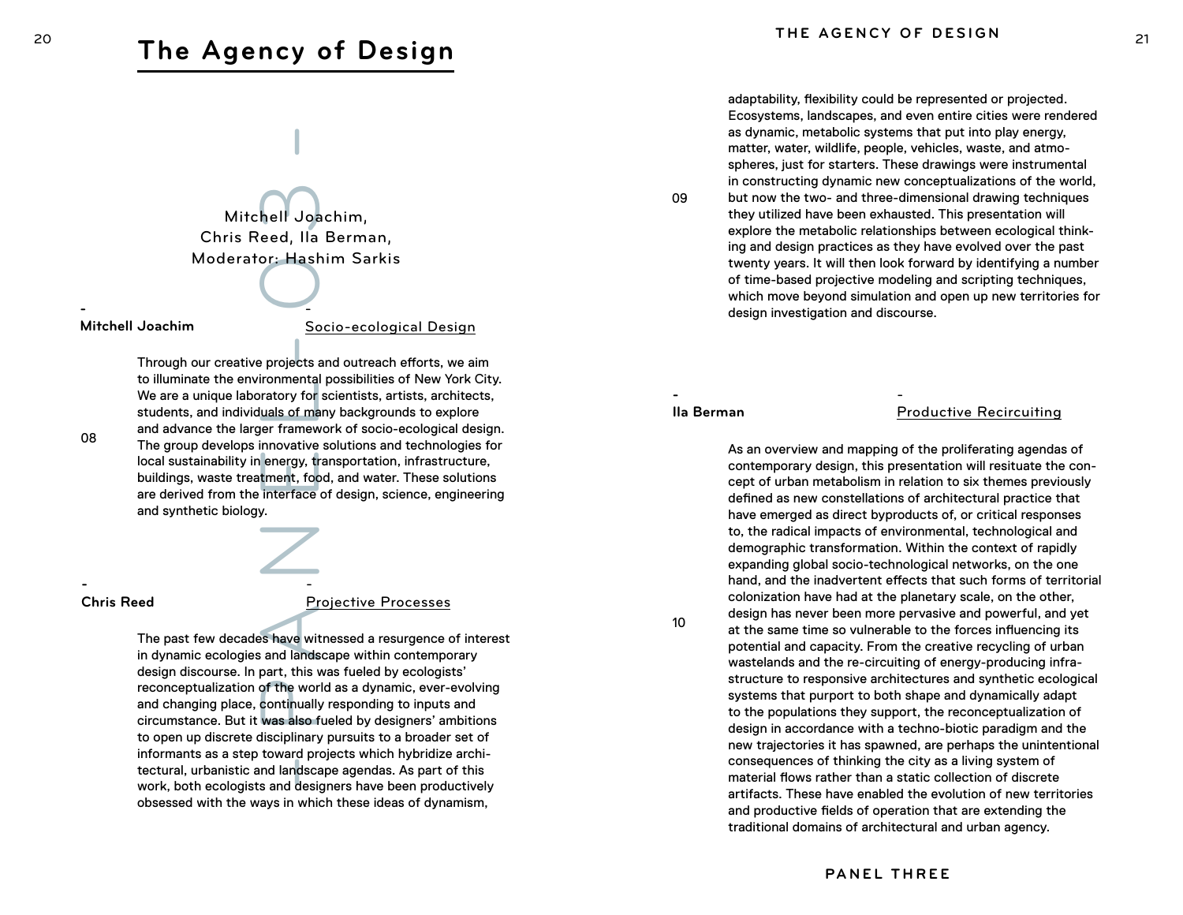# Mitchell Joachim, Chris Reed, Ila Berman, Moderator: Hashim Sarkis

-

# **Mitchell Joachim**

Socio-ecological Design

The Muslim of the Muslim of the Muslim of the Muslim of the Muslim of the Muslim of the Muslim of the Muslim of the Muslim of the Muslim of the Muslim of the Muslim of the Muslim of the Muslim of the Muslim of the Muslim o Through our creative projects and outreach efforts, we aim to illuminate the environmental possibilities of New York City. We are a unique laboratory for scientists, artists, architects, students, and individuals of many backgrounds to explore and advance the larger framework of socio-ecological design. The group develops innovative solutions and technologies for local sustainability in energy, transportation, infrastructure, buildings, waste treatment, food, and water. These solutions are derived from the interface of design, science, engineering and synthetic biology.

# **Chris Reed**

08

**-**

**-**

# Projective Processes

The past few decades have witnessed a resurgence of interest in dynamic ecologies and landscape within contemporary design discourse. In part, this was fueled by ecologists' reconceptualization of the world as a dynamic, ever-evolving and changing place, continually responding to inputs and circumstance. But it was also fueled by designers' ambitions to open up discrete disciplinary pursuits to a broader set of informants as a step toward projects which hybridize architectural, urbanistic and landscape agendas. As part of this work, both ecologists and designers have been productively obsessed with the ways in which these ideas of dynamism,

-

adaptability, flexibility could be represented or projected. Ecosystems, landscapes, and even entire cities were rendered as dynamic, metabolic systems that put into play energy, matter, water, wildlife, people, vehicles, waste, and atmospheres, just for starters. These drawings were instrumental in constructing dynamic new conceptualizations of the world,

but now the two- and three-dimensional drawing techniques they utilized have been exhausted. This presentation will explore the metabolic relationships between ecological thinking and design practices as they have evolved over the past twenty years. It will then look forward by identifying a number of time-based projective modeling and scripting techniques, which move beyond simulation and open up new territories for design investigation and discourse.

-

# **- Ila Berman**

 $10<sub>1</sub>$ 

09

# Productive Recircuiting

As an overview and mapping of the proliferating agendas of contemporary design, this presentation will resituate the concept of urban metabolism in relation to six themes previously defined as new constellations of architectural practice that have emerged as direct byproducts of, or critical responses to, the radical impacts of environmental, technological and demographic transformation. Within the context of rapidly expanding global socio-technological networks, on the one hand, and the inadvertent effects that such forms of territorial colonization have had at the planetary scale, on the other, design has never been more pervasive and powerful, and yet at the same time so vulnerable to the forces influencing its potential and capacity. From the creative recycling of urban wastelands and the re-circuiting of energy-producing infrastructure to responsive architectures and synthetic ecological systems that purport to both shape and dynamically adapt to the populations they support, the reconceptualization of design in accordance with a techno-biotic paradigm and the new trajectories it has spawned, are perhaps the unintentional consequences of thinking the city as a living system of material flows rather than a static collection of discrete artifacts. These have enabled the evolution of new territories and productive fields of operation that are extending the traditional domains of architectural and urban agency.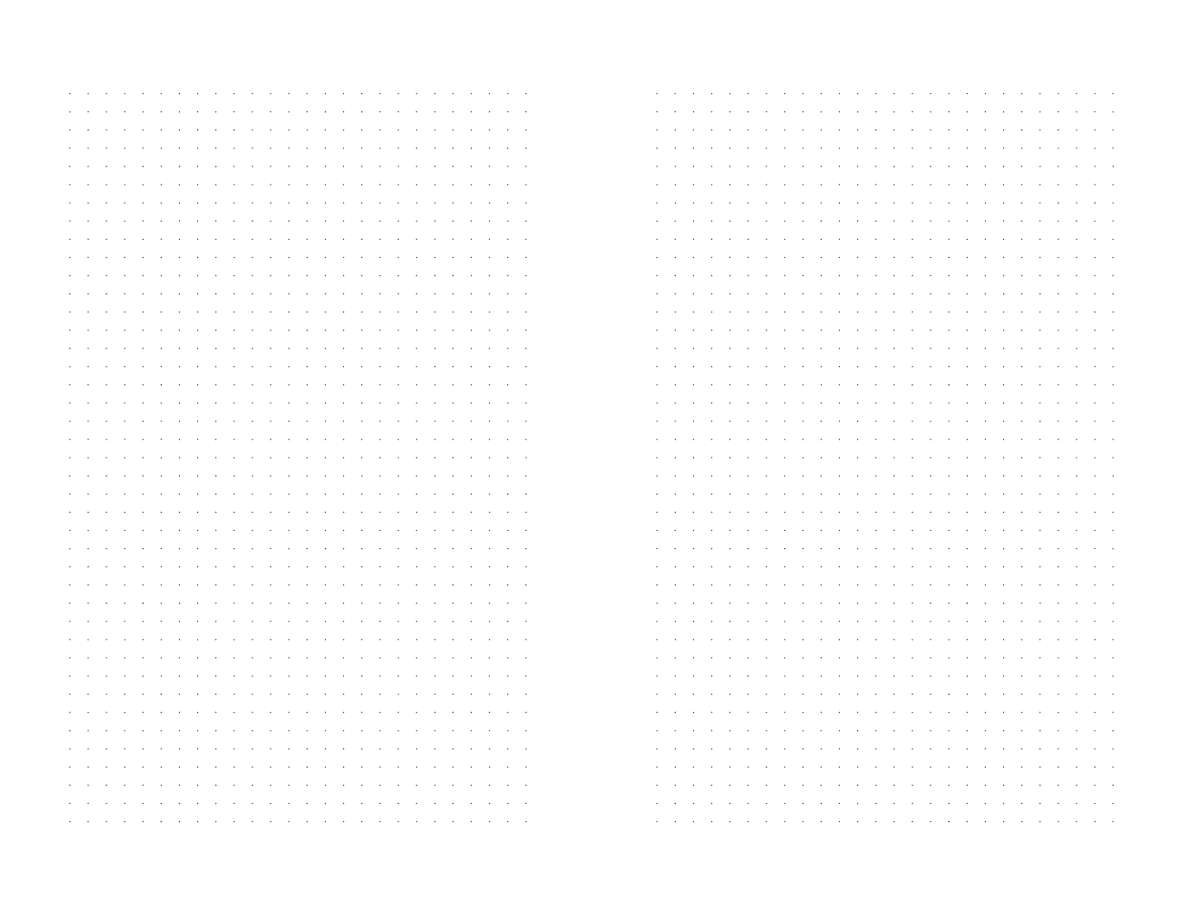|    |  |                      |                      |                      | $\cdot$              | $\ddot{\phantom{0}}$ | $\ddot{\phantom{0}}$ | $\ddot{\phantom{a}}$ | $\ddot{\phantom{0}}$ | $\cdot$                   | $\bullet$            | $\ddot{\phantom{0}}$ | $\ddot{\phantom{0}}$ | $\ddot{\phantom{0}}$ | $\blacksquare$       | $\blacksquare$ |                      | $\ddot{\phantom{0}}$ |                      |                      |                      |                      |                      |
|----|--|----------------------|----------------------|----------------------|----------------------|----------------------|----------------------|----------------------|----------------------|---------------------------|----------------------|----------------------|----------------------|----------------------|----------------------|----------------|----------------------|----------------------|----------------------|----------------------|----------------------|----------------------|----------------------|
|    |  | $\cdot$              | $\cdot$              | ä,                   | ä,                   | $\cdot$              | $\ddot{\phantom{0}}$ | $\ddot{\phantom{a}}$ | $\ddot{\phantom{a}}$ | $\mathbf{a} = \mathbf{a}$ | $\mathcal{A}$        | $\ddot{\phantom{a}}$ | $\ddot{\phantom{0}}$ | $\blacksquare$       | $\ddot{\phantom{0}}$ | ł,             | $\bullet$            | $\cdot$              | $\cdot$              |                      |                      |                      |                      |
| ٠  |  | $\ddot{\phantom{0}}$ | $\ddot{\phantom{0}}$ | $\cdot$              |                      | $\bullet$            | $\bullet$            | $\bullet$            | $\bullet$            | $\blacksquare$            | $\ddot{\phantom{1}}$ | $\bullet$            | $\bullet$            | $\ddot{\phantom{1}}$ | $\bullet$            | $\blacksquare$ | $\bullet$            | $\ddot{\phantom{0}}$ | $\ddot{\phantom{0}}$ |                      | $\cdot$              |                      |                      |
|    |  |                      |                      |                      |                      |                      |                      | $\ddot{\phantom{0}}$ | l.                   | $\ddot{\phantom{a}}$      | $\ddot{\phantom{a}}$ | $\blacksquare$       | $\ddot{\phantom{a}}$ | $\ddot{\phantom{a}}$ | l.                   | l,             |                      |                      |                      |                      |                      |                      |                      |
|    |  |                      |                      |                      |                      |                      |                      | $\ddot{\phantom{0}}$ |                      | $\ddot{\phantom{0}}$      | $\ddot{\phantom{0}}$ | $\ddot{\phantom{0}}$ | $\ddot{\phantom{0}}$ |                      |                      |                |                      |                      |                      |                      |                      |                      |                      |
|    |  |                      |                      |                      | l.                   |                      | ï                    | $\ddot{\phantom{a}}$ | k.                   | ÷,                        | ×                    | ÷.                   | ÷.                   |                      |                      |                |                      |                      |                      |                      |                      |                      |                      |
|    |  |                      |                      |                      |                      |                      |                      | $\ddot{\phantom{0}}$ |                      | $\ddot{\phantom{0}}$      | $\ddot{\phantom{0}}$ | $\ddot{\phantom{0}}$ | $\ddot{\phantom{0}}$ |                      |                      |                |                      |                      |                      |                      |                      |                      |                      |
|    |  |                      | ï                    |                      | ä,                   |                      | $\cdot$              |                      | ÷,                   | ÷,                        | ä,                   | $\cdot$              | $\ddot{\phantom{a}}$ |                      |                      |                |                      |                      |                      |                      |                      |                      | Ĭ.                   |
|    |  |                      |                      |                      |                      |                      |                      |                      |                      | $\cdot$                   |                      |                      |                      |                      |                      |                |                      |                      |                      |                      |                      |                      |                      |
|    |  |                      |                      |                      |                      |                      |                      |                      |                      |                           | ÷,                   |                      |                      |                      |                      |                |                      |                      |                      |                      |                      |                      |                      |
|    |  |                      |                      |                      |                      |                      |                      |                      |                      |                           | $\ddot{\phantom{0}}$ |                      |                      |                      |                      |                |                      |                      |                      |                      |                      |                      |                      |
|    |  |                      |                      |                      |                      |                      |                      |                      |                      |                           |                      |                      |                      |                      |                      |                |                      |                      |                      |                      |                      |                      |                      |
|    |  |                      |                      |                      | $\ddot{\phantom{0}}$ |                      | $\ddot{\phantom{0}}$ | $\bullet$            |                      | $\blacksquare$            | $\ddot{\phantom{0}}$ | $\ddot{\phantom{0}}$ | $\ddot{\phantom{a}}$ | $\bullet$            | $\cdot$              | $\blacksquare$ |                      |                      | $\bullet$            | $\bullet$            | $\blacksquare$       | $\cdot$              |                      |
|    |  |                      |                      |                      | ä,                   |                      |                      | $\cdot$              |                      | $\cdot$                   | $\cdot$              |                      | $\blacksquare$       | $\cdot$              |                      |                |                      |                      |                      |                      |                      |                      |                      |
|    |  |                      | $\cdot$              |                      | $\ddot{\phantom{1}}$ | $\ddot{\phantom{1}}$ | $\ddot{\phantom{0}}$ | $\bullet$            |                      | $\cdot$                   | $\cdot$              |                      |                      |                      |                      | $\cdot$        |                      | $\bullet$            | $\bullet$            |                      | $\cdot$              |                      | $\ddot{\phantom{0}}$ |
| ÷. |  | $\cdot$              | ÷,                   | ä,                   | $\ddot{\phantom{0}}$ | $\bullet$            | $\bullet$            | $\cdot$              | $\ddot{\phantom{a}}$ | $\epsilon$                | $\bullet$            | $\ddot{\phantom{0}}$ | $\cdot$              | $\cdot$              | $\ddot{\phantom{a}}$ | ÷.             | $\ddot{\phantom{a}}$ | $\ddot{\phantom{0}}$ | $\cdot$              | $\ddot{\phantom{a}}$ | $\epsilon$           |                      |                      |
|    |  |                      |                      |                      |                      |                      |                      | $\ddot{\phantom{0}}$ | $\ddot{\phantom{0}}$ | $\cdot$                   | $\cdot$              |                      | $\ddot{\phantom{0}}$ |                      |                      |                |                      |                      |                      |                      |                      |                      |                      |
|    |  |                      |                      |                      |                      |                      |                      |                      |                      |                           |                      |                      |                      |                      |                      |                |                      |                      |                      |                      |                      |                      | ÷,                   |
|    |  |                      |                      |                      |                      |                      | $\overline{a}$       | $\ddot{\phantom{0}}$ | $\ddot{\phantom{0}}$ | $\ddot{\phantom{a}}$      | $\overline{a}$       | $\ddot{\phantom{0}}$ | $\ddot{\phantom{0}}$ |                      |                      | $\overline{a}$ |                      |                      |                      |                      |                      |                      |                      |
|    |  |                      |                      |                      | $\ddot{\phantom{0}}$ |                      | $\cdot$              | $\cdot$              | $\ddot{\phantom{a}}$ | l,                        | $\cdot$              | $\ddot{\phantom{0}}$ | $\ddot{\phantom{0}}$ |                      |                      |                |                      |                      |                      |                      |                      |                      |                      |
|    |  | $\ddot{\phantom{0}}$ | $\ddot{\phantom{0}}$ | $\ddot{\phantom{a}}$ | $\ddot{\phantom{0}}$ | $\ddot{\phantom{0}}$ | $\ddot{\phantom{0}}$ | $\ddot{\phantom{0}}$ | $\ddot{\phantom{a}}$ | $\cdot$                   | $\ddot{\phantom{0}}$ | $\ddot{\phantom{0}}$ | $\ddot{\phantom{0}}$ |                      |                      |                |                      | $\ddot{\phantom{0}}$ |                      |                      |                      |                      | $\ddot{\phantom{0}}$ |
|    |  |                      |                      |                      |                      |                      |                      |                      |                      |                           |                      |                      |                      |                      |                      |                |                      |                      |                      |                      |                      |                      |                      |
|    |  |                      |                      |                      |                      |                      |                      |                      |                      | $\ddot{\phantom{0}}$      | $\cdot$              |                      |                      |                      |                      |                |                      |                      |                      |                      |                      |                      |                      |
|    |  |                      |                      |                      |                      |                      |                      |                      |                      |                           | $\cdot$              |                      |                      |                      |                      |                |                      |                      |                      |                      |                      |                      |                      |
|    |  |                      |                      |                      |                      |                      |                      |                      |                      |                           |                      |                      |                      |                      |                      |                |                      |                      |                      |                      |                      |                      |                      |
|    |  |                      |                      |                      |                      |                      |                      | $\bullet$            |                      | $\bullet$                 | $\ddot{\phantom{a}}$ | $\ddot{\phantom{0}}$ | $\bullet$            |                      | $\bullet$            |                |                      |                      | $\blacksquare$       | $\bullet$            | $\ddot{\phantom{a}}$ | $\ddot{\phantom{0}}$ |                      |
|    |  |                      |                      |                      |                      |                      |                      |                      |                      | $\cdot$                   | $\cdot$              |                      |                      |                      |                      |                |                      |                      |                      |                      |                      |                      |                      |
|    |  |                      | $\cdot$              |                      | $\blacksquare$       | $\ddot{\phantom{0}}$ | $\cdot$              | $\ddot{\phantom{1}}$ | $\bullet$            | $\cdot$                   | $\ddot{\phantom{1}}$ |                      | $\bullet$            | $\bullet$            | $\ddot{\phantom{0}}$ | $\bullet$      |                      | $\ddot{\phantom{0}}$ | $\ddot{\phantom{0}}$ |                      | $\blacksquare$       |                      | ٠                    |
|    |  | $\ddot{\phantom{0}}$ | $\cdot$              | $\ddot{\phantom{0}}$ | $\cdot$              | $\cdot$              | $\ddot{\phantom{0}}$ | $\cdot$              | $\cdot$              | $\blacksquare$            | $\cdot$              | $\cdot$              | $\cdot$              | $\ddot{\phantom{a}}$ | $\cdot$              |                | $\cdot$              | $\cdot$              | $\cdot$              | $\cdot$              | $\cdot$              |                      |                      |
|    |  |                      |                      |                      |                      |                      |                      | $\ddot{\phantom{0}}$ |                      |                           |                      |                      |                      |                      |                      |                |                      |                      |                      |                      |                      |                      |                      |
|    |  |                      |                      |                      |                      |                      |                      |                      |                      |                           |                      |                      |                      |                      |                      |                |                      |                      |                      |                      |                      |                      |                      |
|    |  |                      |                      |                      |                      | $\overline{a}$       |                      | $\ddot{\phantom{0}}$ | $\ddot{\phantom{0}}$ | $\cdot$                   | $\ddot{\phantom{0}}$ | $\overline{a}$       | $\ddot{\phantom{0}}$ |                      |                      |                |                      |                      |                      |                      |                      |                      |                      |
|    |  |                      |                      |                      |                      |                      |                      | $\ddot{\phantom{a}}$ |                      | $\ddot{\phantom{a}}$      | $\cdot$              | $\ddot{\phantom{0}}$ |                      |                      |                      |                |                      |                      |                      |                      |                      |                      |                      |
|    |  |                      | $\ddot{\phantom{0}}$ |                      |                      |                      |                      |                      |                      | $\cdot$                   | $\ddot{\phantom{0}}$ |                      |                      |                      |                      |                |                      |                      |                      |                      |                      |                      |                      |
|    |  |                      |                      |                      |                      |                      |                      |                      |                      |                           |                      |                      |                      |                      |                      |                |                      |                      |                      |                      |                      |                      |                      |
|    |  |                      |                      |                      |                      |                      |                      |                      |                      |                           |                      |                      |                      |                      |                      |                |                      |                      |                      |                      |                      |                      |                      |
|    |  |                      |                      |                      |                      |                      |                      |                      |                      |                           |                      |                      |                      |                      |                      |                |                      |                      |                      |                      |                      |                      |                      |
|    |  |                      |                      |                      |                      |                      |                      |                      |                      |                           |                      |                      |                      |                      |                      |                |                      |                      |                      |                      |                      |                      |                      |
|    |  |                      |                      |                      |                      |                      |                      |                      |                      |                           |                      |                      |                      |                      |                      |                |                      |                      |                      |                      |                      |                      |                      |

|  |  |  |  |  | $\ddot{\phantom{0}}$ | $\ddot{\phantom{0}}$ |  |  |  |                      |  |  |  |
|--|--|--|--|--|----------------------|----------------------|--|--|--|----------------------|--|--|--|
|  |  |  |  |  |                      |                      |  |  |  |                      |  |  |  |
|  |  |  |  |  |                      |                      |  |  |  | $\ddot{\phantom{0}}$ |  |  |  |
|  |  |  |  |  |                      |                      |  |  |  |                      |  |  |  |
|  |  |  |  |  |                      |                      |  |  |  |                      |  |  |  |
|  |  |  |  |  |                      |                      |  |  |  |                      |  |  |  |
|  |  |  |  |  |                      |                      |  |  |  |                      |  |  |  |
|  |  |  |  |  |                      |                      |  |  |  |                      |  |  |  |
|  |  |  |  |  |                      |                      |  |  |  |                      |  |  |  |
|  |  |  |  |  |                      |                      |  |  |  |                      |  |  |  |
|  |  |  |  |  |                      |                      |  |  |  |                      |  |  |  |
|  |  |  |  |  |                      |                      |  |  |  |                      |  |  |  |
|  |  |  |  |  |                      |                      |  |  |  |                      |  |  |  |
|  |  |  |  |  |                      |                      |  |  |  |                      |  |  |  |
|  |  |  |  |  |                      |                      |  |  |  |                      |  |  |  |
|  |  |  |  |  |                      |                      |  |  |  |                      |  |  |  |
|  |  |  |  |  |                      |                      |  |  |  |                      |  |  |  |
|  |  |  |  |  |                      |                      |  |  |  |                      |  |  |  |
|  |  |  |  |  |                      |                      |  |  |  |                      |  |  |  |
|  |  |  |  |  |                      |                      |  |  |  |                      |  |  |  |
|  |  |  |  |  |                      |                      |  |  |  |                      |  |  |  |
|  |  |  |  |  |                      |                      |  |  |  |                      |  |  |  |
|  |  |  |  |  |                      |                      |  |  |  |                      |  |  |  |
|  |  |  |  |  |                      |                      |  |  |  |                      |  |  |  |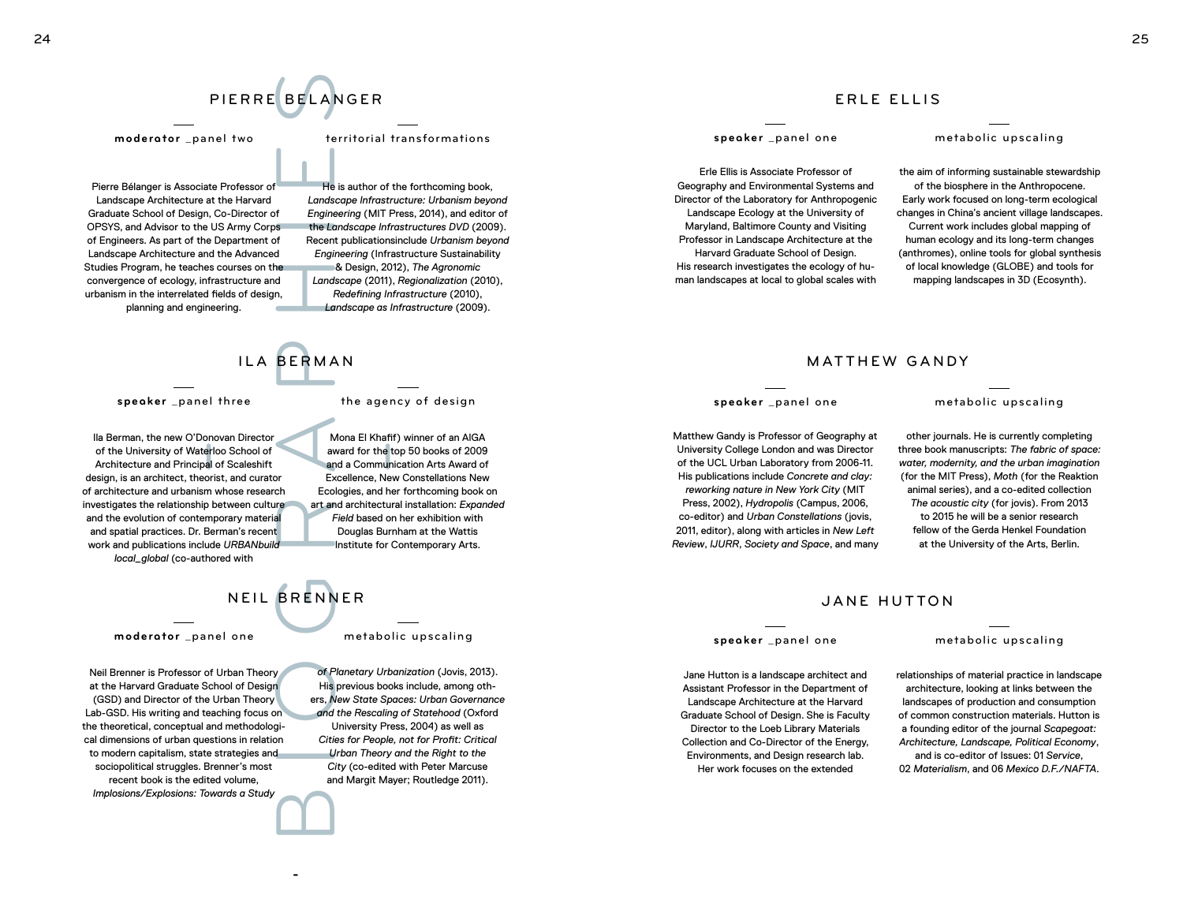# ERLE ELLIS

Erle Ellis is Associate Professor of Geography and Environmental Systems and Director of the Laboratory for Anthropogenic Landscape Ecology at the University of Maryland, Baltimore County and Visiting Professor in Landscape Architecture at the Harvard Graduate School of Design. His research investigates the ecology of hu man landscapes at local to global scales with

# **speaker** \_panel one metabolic upscaling

the aim of informing sustainable stewardship of the biosphere in the Anthropocene. Early work focused on long-term ecological changes in China's ancient village landscapes. Current work includes global mapping of human ecology and its long-term changes (anthromes), online tools for global synthesis of local knowledge (GLOBE) and tools for mapping landscapes in 3D (Ecosynth).

MATTHEW GANDY

# **speaker** \_panel one metabolic upscaling

Matthew Gandy is Professor of Geography at University College London and was Director of the UCL Urban Laboratory from 2006-11. His publications include *Concrete and clay: reworking nature in New York City* (MIT Press, 2002), *Hydropolis* (Campus, 2006, co-editor) and *Urban Constellations* (jovis, 2011, editor), along with articles in *New Left Review*, *IJURR*, *Society and Space*, and many

other journals. He is currently completing three book manuscripts: *The fabric of space: water, modernity, and the urban imagination*  (for the MIT Press), *Moth* (for the Reaktion animal series), and a co-edited collection *The acoustic city* (for jovis). From 2013 to 2015 he will be a senior research fellow of the Gerda Henkel Foundation at the University of the Arts, Berlin.

# JANE HUTTON

Jane Hutton is a landscape architect and Assistant Professor in the Department of Landscape Architecture at the Harvard Graduate School of Design. She is Faculty Director to the Loeb Library Materials Collection and Co-Director of the Energy, Environments, and Design research lab. Her work focuses on the extended

**speaker** \_panel one metabolic upscaling

relationships of material practice in landscape architecture, looking at links between the landscapes of production and consumption of common construction materials. Hutton is a founding editor of the journal *Scapegoat: Architecture, Landscape, Political Economy*, and is co-editor of Issues: 01 *Service*, 02 *Materialism*, and 06 *Mexico D.F./NAFTA* .

# PIERRE BELANGER

**moderator** \_panel two territorial transformations

Pierre Bélanger is Associate Professor of Landscape Architecture at the Harvard Graduate School of Design, Co-Director of OPSYS, and Advisor to the US Army Corps of Engineers. As part of the Department of Landscape Architecture and the Advanced Studies Program, he teaches courses on the convergence of ecology, infrastructure and urbanism in the interrelated fields of design, planning and engineering.

ILA BERMAN

**-**

NEIL BRENNER

speaker \_panel three the agency of design

el<br>a design, is an architect, theorist, and curator Ila Berman, the new O'Donovan Director of the University of Waterloo School of Architecture and Principal of Scaleshift of architecture and urbanism whose research investigates the relationship between culture and the evolution of contemporary material and spatial practices. Dr. Berman's recent work and publications include *URBANbuild local\_global* (co-authored with

Neil Brenner is Professor of Urban Theory at the Harvard Graduate School of Design (GSD) and Director of the Urban Theory Lab-GSD. His writing and teaching focus on the theoretical, conceptual and methodologi cal dimensions of urban questions in relation to modern capitalism, state strategies and sociopolitical struggles. Brenner's most recent book is the edited volume, *Implosions/Explosions: Towards a Study* 

**moderator** \_panel one metabolic upscaling

.<br>|<br>| Excellence, New Constellations New

Mona El Khafif) winner of an AIGA award for the top 50 books of 2009 and a Communication Arts Award of Ecologies, and her forthcoming book on art and architectural installation: *Expanded Field* based on her exhibition with Douglas Burnham at the Wattis Institute for Contemporary Arts.

He is author of the forthcoming book, *Landscape Infrastructure: Urbanism beyond Engineering* (MIT Press, 2014), and editor of the *Landscape Infrastructures DVD* (2009). Recent publicationsinclude *Urbanism beyond Engineering* (Infrastructure Sustainability & Design, 2012), *The Agronomic Landscape* (2011), *Regionalization* (2010), *Redefining Infrastructure* (2010), *Landscape as Infrastructure* (2009).

BELA<br>
The Lands<br>
f s the Lands<br>
the Lands<br>
the Lands<br>
d Recem<br>
Engine<br>
BERM A<br>
aware<br>
are<br>
f Recem<br>
Land<br>
Land<br>
Land<br>
Land<br>
Land<br>
Land<br>
Land<br>
Land<br>
Land<br>
Land<br>
Land<br>
Land<br>
Land<br>
Land<br>
Land<br>
Land<br>
Land<br>
Land<br>
Land<br>
Land<br>
La *of Planetary Urbanization* (Jovis, 2013). His previous books include, among oth ers, *New State Spaces: Urban Governance and the Rescaling of Statehood* (Oxford University Press, 2004) as well as *Cities for People, not for Profit: Critical Urban Theory and the Right to the City* (co-edited with Peter Marcuse and Margit Mayer; Routledge 2011).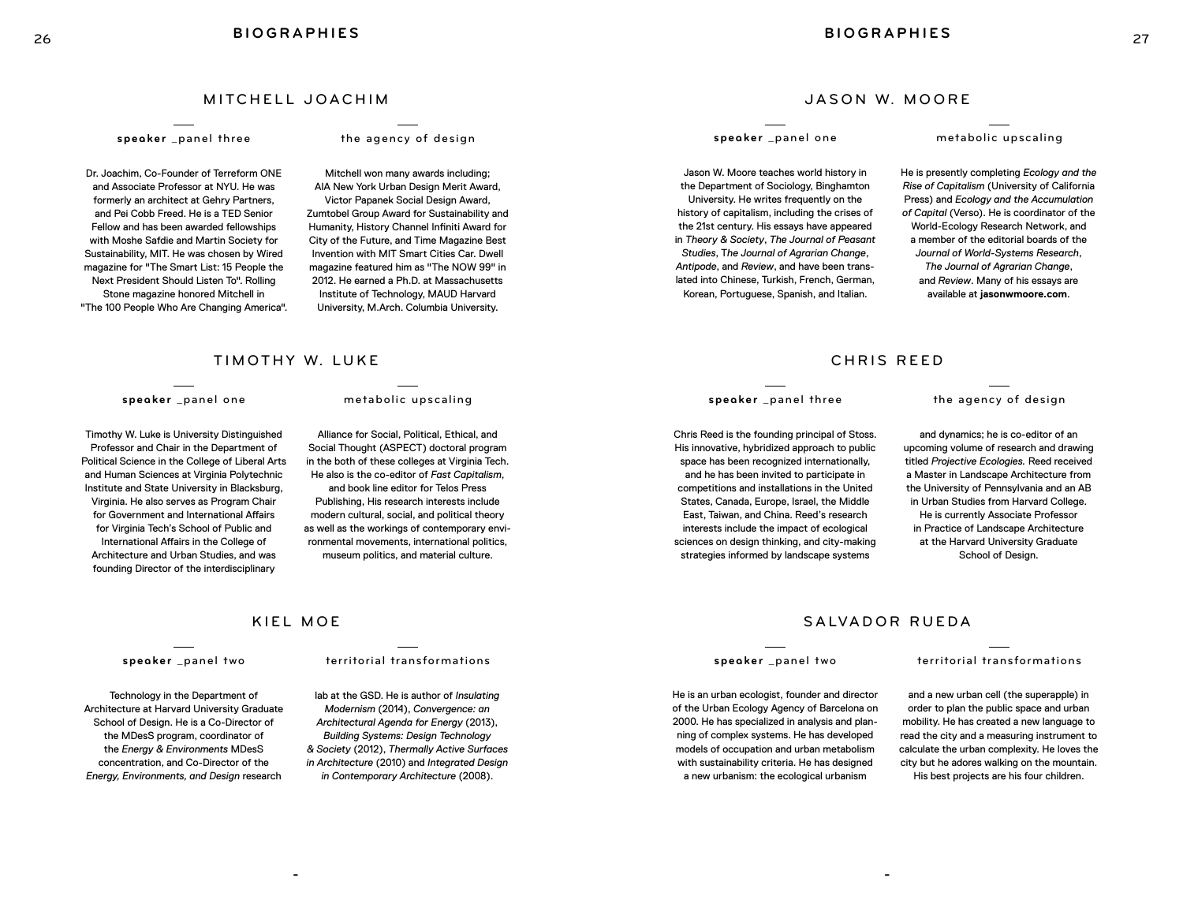# MITCHELL JOACHIM

### **speaker** \_panel three

Dr. Joachim, Co-Founder of Terreform ONE and Associate Professor at NYU. He was formerly an architect at Gehry Partners, and Pei Cobb Freed. He is a TED Senior Fellow and has been awarded fellowships with Moshe Safdie and Martin Society for Sustainability, MIT. He was chosen by Wired magazine for "The Smart List: 15 People the Next President Should Listen To". Rolling Stone magazine honored Mitchell in "The 100 People Who Are Changing America". the agency of design

Mitchell won many awards including; AIA New York Urban Design Merit Award, Victor Papanek Social Design Award, Zumtobel Group Award for Sustainability and Humanity, History Channel Infiniti Award for City of the Future, and Time Magazine Best Invention with MIT Smart Cities Car. Dwell magazine featured him as "The NOW 99" in 2012. He earned a Ph.D. at Massachusetts Institute of Technology, MAUD Harvard University, M.Arch. Columbia University.

# TIMOTHY W. LUKE

# **speaker** \_panel one

Timothy W. Luke is University Distinguished Professor and Chair in the Department of Political Science in the College of Liberal Arts and Human Sciences at Virginia Polytechnic Institute and State University in Blacksburg, Virginia. He also serves as Program Chair for Government and International Affairs for Virginia Tech's School of Public and International Affairs in the College of Architecture and Urban Studies, and was founding Director of the interdisciplinary

## metabolic upscaling

Alliance for Social, Political, Ethical, and Social Thought (ASPECT) doctoral program in the both of these colleges at Virginia Tech. He also is the co-editor of *Fast Capitalism*, and book line editor for Telos Press

Publishing, His research interests include modern cultural, social, and political theory as well as the workings of contemporary environmental movements, international politics, museum politics, and material culture.

# KIEL MOE

**-**

# **speaker** \_panel two

Technology in the Department of Architecture at Harvard University Graduate School of Design. He is a Co-Director of the MDesS program, coordinator of the *Energy & Environments* MDesS concentration, and Co-Director of the *Energy, Environments, and Design* research

territorial transformations

lab at the GSD. He is author of *Insulating Modernism* (2014), *Convergence: an Architectural Agenda for Energy* (2013), *Building Systems: Design Technology & Society* (2012), *Thermally Active Surfaces in Architecture* (2010) and *Integrated Design in Contemporary Architecture* (2008).

# JASON W. MOORE

## **speaker** \_panel one

Jason W. Moore teaches world history in the Department of Sociology, Binghamton University. He writes frequently on the history of capitalism, including the crises of the 21st century. His essays have appeared in *Theory & Society*, *The Journal of Peasant Studies*, T*he Journal of Agrarian Change*, *Antipode*, and *Review*, and have been translated into Chinese, Turkish, French, German, Korean, Portuguese, Spanish, and Italian.

# metabolic upscaling

He is presently completing *Ecology and the Rise of Capitalism* (University of California Press) and *Ecology and the Accumulation of Capital* (Verso). He is coordinator of the World-Ecology Research Network, and a member of the editorial boards of the *Journal of World-Systems Research*, *The Journal of Agrarian Change*, and *Review*. Many of his essays are available at **jasonwmoore.com**.

# CHRIS REED

# **speaker** \_panel three

Chris Reed is the founding principal of Stoss. His innovative, hybridized approach to public space has been recognized internationally, and he has been invited to participate in competitions and installations in the United States, Canada, Europe, Israel, the Middle East, Taiwan, and China. Reed's research interests include the impact of ecological sciences on design thinking, and city-making strategies informed by landscape systems

the agency of design

and dynamics; he is co-editor of an upcoming volume of research and drawing titled *Projective Ecologies.* Reed received a Master in Landscape Architecture from the University of Pennsylvania and an AB in Urban Studies from Harvard College. He is currently Associate Professor in Practice of Landscape Architecture at the Harvard University Graduate School of Design.

# SALVADOR RUEDA

**-**

He is an urban ecologist, founder and director of the Urban Ecology Agency of Barcelona on 2000. He has specialized in analysis and planning of complex systems. He has developed models of occupation and urban metabolism with sustainability criteria. He has designed a new urbanism: the ecological urbanism

## speaker \_panel two territorial transformations

and a new urban cell (the superapple) in order to plan the public space and urban mobility. He has created a new language to read the city and a measuring instrument to calculate the urban complexity. He loves the city but he adores walking on the mountain. His best projects are his four children.